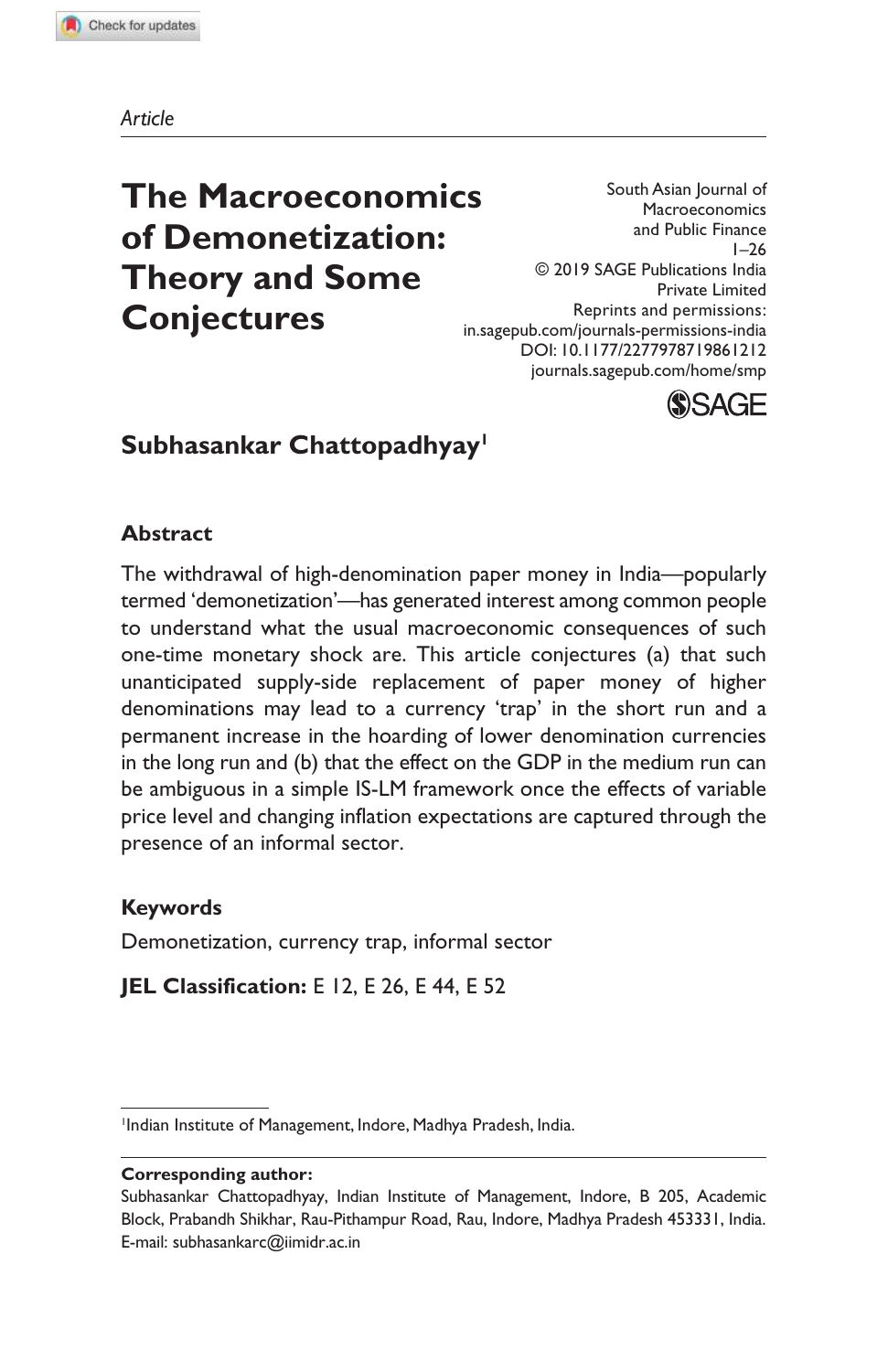*Article*

# **The Macroeconomics of Demonetization: Theory and Some Conjectures**

South Asian Journal of Macroeconomics and Public Finance  $1 - 26$ © 2019 SAGE Publications India Private Limited Reprints and permissions: in.sagepub.com/journals-permissions-india DOI: 10.1177/2277978719861212 journals.sagepub.com/home/smp



# **Subhasankar Chattopadhyay<sup>1</sup>**

### **Abstract**

The withdrawal of high-denomination paper money in India—popularly termed 'demonetization'—has generated interest among common people to understand what the usual macroeconomic consequences of such one-time monetary shock are. This article conjectures (a) that such unanticipated supply-side replacement of paper money of higher denominations may lead to a currency 'trap' in the short run and a permanent increase in the hoarding of lower denomination currencies in the long run and (b) that the effect on the GDP in the medium run can be ambiguous in a simple IS-LM framework once the effects of variable price level and changing inflation expectations are captured through the presence of an informal sector.

### **Keywords**

Demonetization, currency trap, informal sector

**JEL Classification: E** 12, **E** 26, **E** 44, **E** 52

#### **Corresponding author:**

<sup>1</sup> Indian Institute of Management, Indore, Madhya Pradesh, India.

Subhasankar Chattopadhyay, Indian Institute of Management, Indore, B 205, Academic Block, Prabandh Shikhar, Rau-Pithampur Road, Rau, Indore, Madhya Pradesh 453331, India. E-mail: subhasankarc@iimidr.ac.in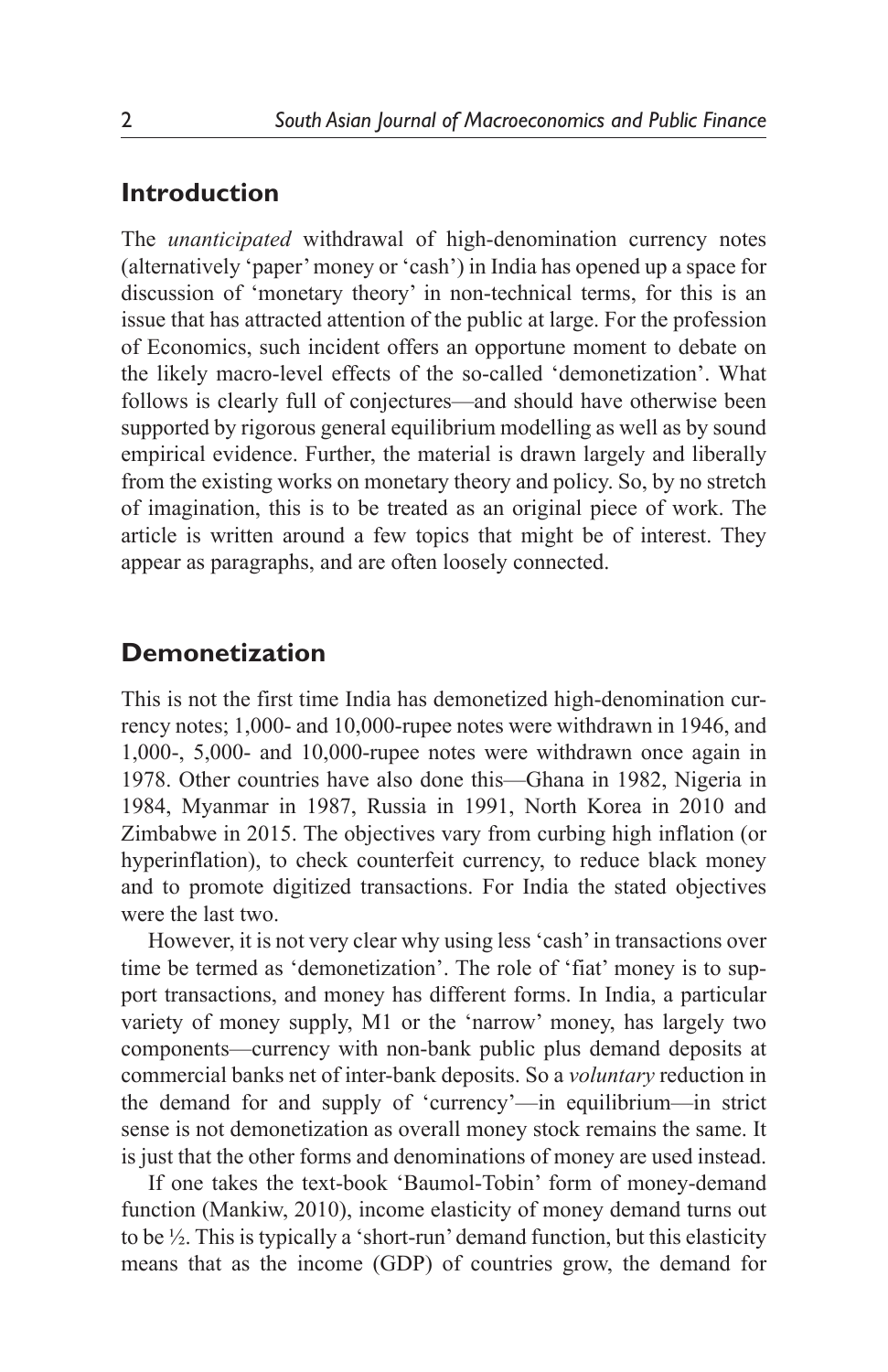### **Introduction**

The *unanticipated* withdrawal of high-denomination currency notes (alternatively 'paper' money or 'cash') in India has opened up a space for discussion of 'monetary theory' in non-technical terms, for this is an issue that has attracted attention of the public at large. For the profession of Economics, such incident offers an opportune moment to debate on the likely macro-level effects of the so-called 'demonetization'. What follows is clearly full of conjectures—and should have otherwise been supported by rigorous general equilibrium modelling as well as by sound empirical evidence. Further, the material is drawn largely and liberally from the existing works on monetary theory and policy. So, by no stretch of imagination, this is to be treated as an original piece of work. The article is written around a few topics that might be of interest. They appear as paragraphs, and are often loosely connected.

## **Demonetization**

This is not the first time India has demonetized high-denomination currency notes; 1,000- and 10,000-rupee notes were withdrawn in 1946, and 1,000-, 5,000- and 10,000-rupee notes were withdrawn once again in 1978. Other countries have also done this—Ghana in 1982, Nigeria in 1984, Myanmar in 1987, Russia in 1991, North Korea in 2010 and Zimbabwe in 2015. The objectives vary from curbing high inflation (or hyperinflation), to check counterfeit currency, to reduce black money and to promote digitized transactions. For India the stated objectives were the last two.

However, it is not very clear why using less 'cash' in transactions over time be termed as 'demonetization'. The role of 'fiat' money is to support transactions, and money has different forms. In India, a particular variety of money supply, M1 or the 'narrow' money, has largely two components—currency with non-bank public plus demand deposits at commercial banks net of inter-bank deposits. So a *voluntary* reduction in the demand for and supply of 'currency'—in equilibrium—in strict sense is not demonetization as overall money stock remains the same. It is just that the other forms and denominations of money are used instead.

If one takes the text-book 'Baumol-Tobin' form of money-demand function (Mankiw, 2010), income elasticity of money demand turns out to be ½. This is typically a 'short-run' demand function, but this elasticity means that as the income (GDP) of countries grow, the demand for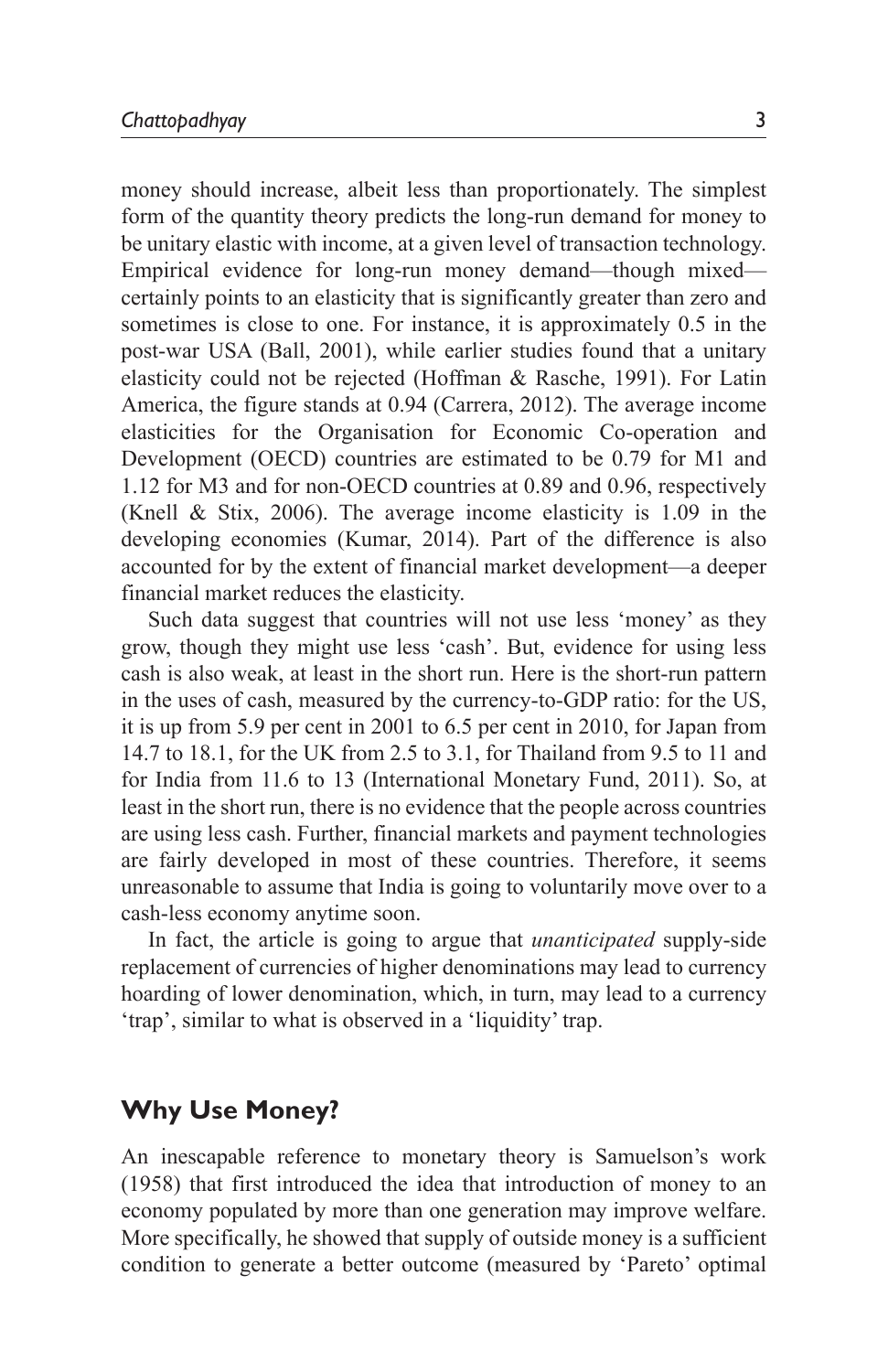money should increase, albeit less than proportionately. The simplest form of the quantity theory predicts the long-run demand for money to be unitary elastic with income, at a given level of transaction technology. Empirical evidence for long-run money demand—though mixed certainly points to an elasticity that is significantly greater than zero and sometimes is close to one. For instance, it is approximately 0.5 in the post-war USA (Ball, 2001), while earlier studies found that a unitary elasticity could not be rejected (Hoffman & Rasche, 1991). For Latin America, the figure stands at 0.94 (Carrera, 2012). The average income elasticities for the Organisation for Economic Co-operation and Development (OECD) countries are estimated to be 0.79 for M1 and 1.12 for M3 and for non-OECD countries at 0.89 and 0.96, respectively (Knell & Stix, 2006). The average income elasticity is 1.09 in the developing economies (Kumar, 2014). Part of the difference is also accounted for by the extent of financial market development—a deeper financial market reduces the elasticity.

Such data suggest that countries will not use less 'money' as they grow, though they might use less 'cash'. But, evidence for using less cash is also weak, at least in the short run. Here is the short-run pattern in the uses of cash, measured by the currency-to-GDP ratio: for the US, it is up from 5.9 per cent in 2001 to 6.5 per cent in 2010, for Japan from 14.7 to 18.1, for the UK from 2.5 to 3.1, for Thailand from 9.5 to 11 and for India from 11.6 to 13 (International Monetary Fund, 2011). So, at least in the short run, there is no evidence that the people across countries are using less cash. Further, financial markets and payment technologies are fairly developed in most of these countries. Therefore, it seems unreasonable to assume that India is going to voluntarily move over to a cash-less economy anytime soon.

In fact, the article is going to argue that *unanticipated* supply-side replacement of currencies of higher denominations may lead to currency hoarding of lower denomination, which, in turn, may lead to a currency 'trap', similar to what is observed in a 'liquidity' trap.

# **Why Use Money?**

 An inescapable reference to monetary theory is Samuelson's work (1958) that first introduced the idea that introduction of money to an economy populated by more than one generation may improve welfare. More specifically, he showed that supply of outside money is a sufficient condition to generate a better outcome (measured by 'Pareto' optimal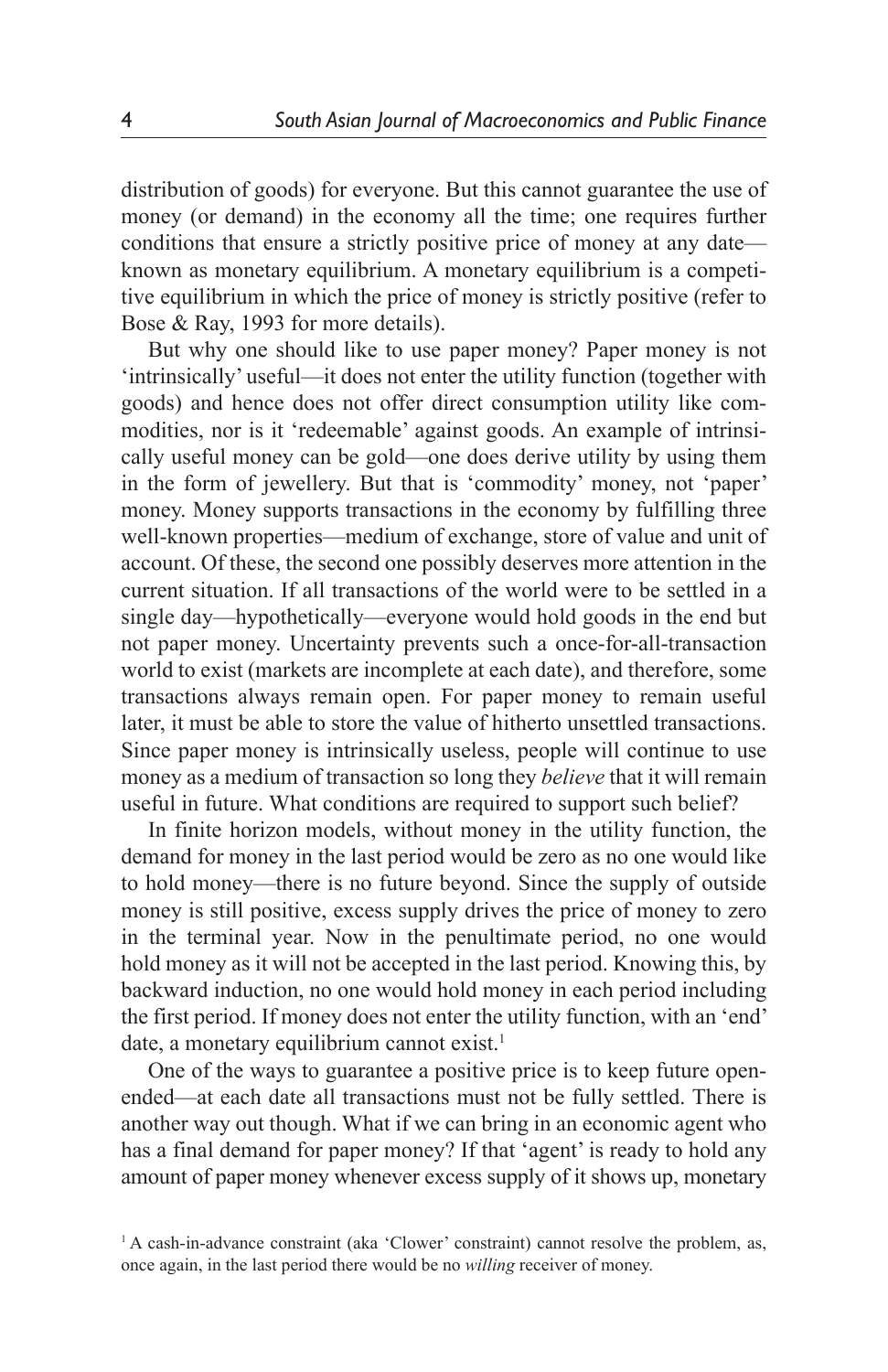distribution of goods) for everyone. But this cannot guarantee the use of money (or demand) in the economy all the time; one requires further conditions that ensure a strictly positive price of money at any date known as monetary equilibrium. A monetary equilibrium is a competitive equilibrium in which the price of money is strictly positive (refer to Bose & Ray, 1993 for more details).

But why one should like to use paper money? Paper money is not 'intrinsically' useful—it does not enter the utility function (together with goods) and hence does not offer direct consumption utility like commodities, nor is it 'redeemable' against goods. An example of intrinsically useful money can be gold—one does derive utility by using them in the form of jewellery. But that is 'commodity' money, not 'paper' money. Money supports transactions in the economy by fulfilling three well-known properties—medium of exchange, store of value and unit of account. Of these, the second one possibly deserves more attention in the current situation. If all transactions of the world were to be settled in a single day—hypothetically—everyone would hold goods in the end but not paper money. Uncertainty prevents such a once-for-all-transaction world to exist (markets are incomplete at each date), and therefore, some transactions always remain open. For paper money to remain useful later, it must be able to store the value of hitherto unsettled transactions. Since paper money is intrinsically useless, people will continue to use money as a medium of transaction so long they *believe* that it will remain useful in future. What conditions are required to support such belief?

In finite horizon models, without money in the utility function, the demand for money in the last period would be zero as no one would like to hold money—there is no future beyond. Since the supply of outside money is still positive, excess supply drives the price of money to zero in the terminal year. Now in the penultimate period, no one would hold money as it will not be accepted in the last period. Knowing this, by backward induction, no one would hold money in each period including the first period. If money does not enter the utility function, with an 'end' date, a monetary equilibrium cannot exist.<sup>1</sup>

One of the ways to guarantee a positive price is to keep future openended—at each date all transactions must not be fully settled. There is another way out though. What if we can bring in an economic agent who has a final demand for paper money? If that 'agent' is ready to hold any amount of paper money whenever excess supply of it shows up, monetary

<sup>&</sup>lt;sup>1</sup> A cash-in-advance constraint (aka 'Clower' constraint) cannot resolve the problem, as, once again, in the last period there would be no *willing* receiver of money.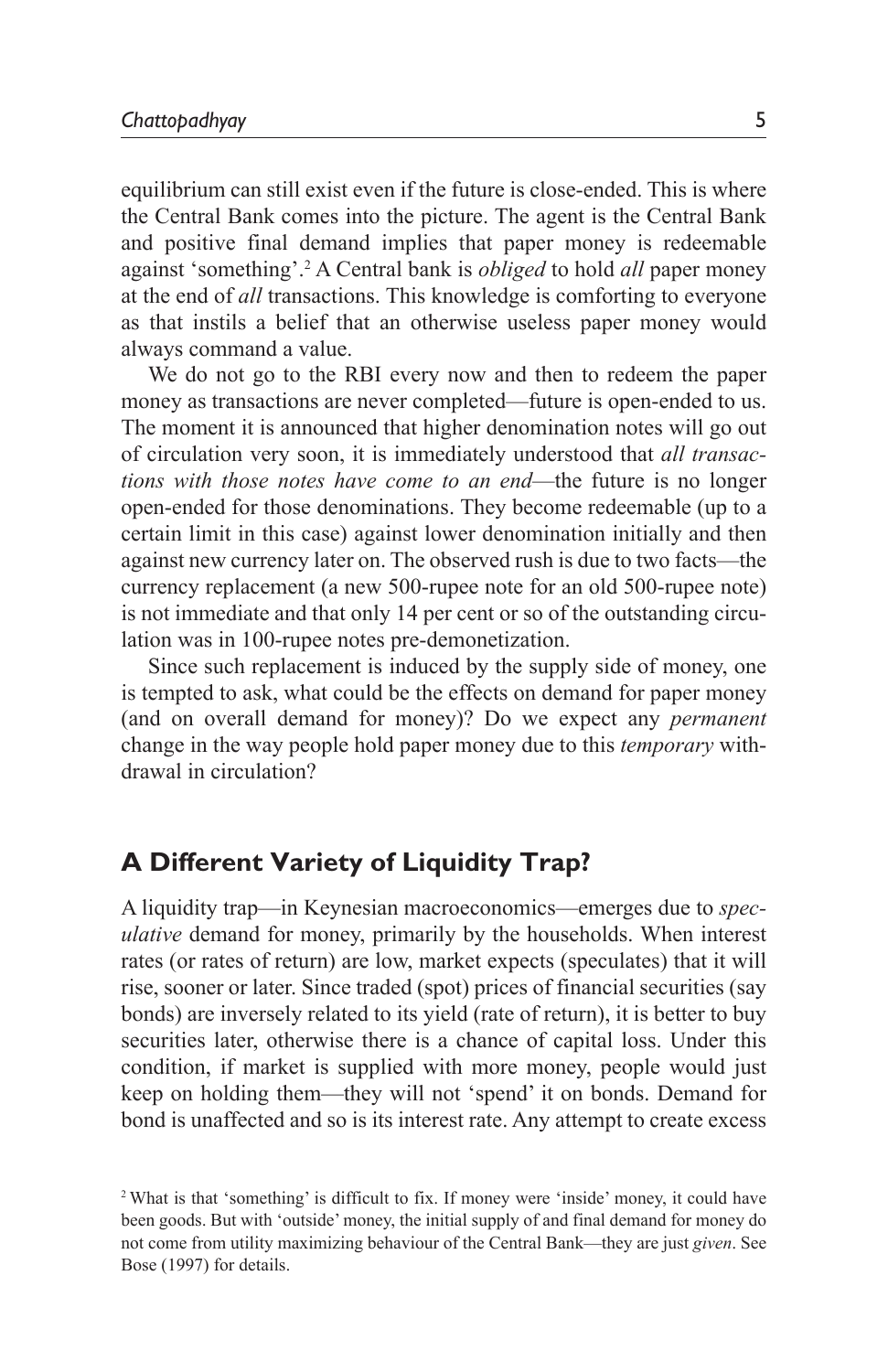equilibrium can still exist even if the future is close-ended. This is where the Central Bank comes into the picture. The agent is the Central Bank and positive final demand implies that paper money is redeemable against 'something'.<sup>2</sup> A Central bank is *obliged* to hold *all* paper money at the end of *all* transactions. This knowledge is comforting to everyone as that instils a belief that an otherwise useless paper money would always command a value.

We do not go to the RBI every now and then to redeem the paper money as transactions are never completed—future is open-ended to us. The moment it is announced that higher denomination notes will go out of circulation very soon, it is immediately understood that *all transactions with those notes have come to an end*—the future is no longer open-ended for those denominations. They become redeemable (up to a certain limit in this case) against lower denomination initially and then against new currency later on. The observed rush is due to two facts—the currency replacement (a new 500-rupee note for an old 500-rupee note) is not immediate and that only 14 per cent or so of the outstanding circulation was in 100-rupee notes pre-demonetization.

Since such replacement is induced by the supply side of money, one is tempted to ask, what could be the effects on demand for paper money (and on overall demand for money)? Do we expect any *permanent* change in the way people hold paper money due to this *temporary* withdrawal in circulation?

# **A Different Variety of Liquidity Trap?**

A liquidity trap—in Keynesian macroeconomics—emerges due to *speculative* demand for money, primarily by the households. When interest rates (or rates of return) are low, market expects (speculates) that it will rise, sooner or later. Since traded (spot) prices of financial securities (say bonds) are inversely related to its yield (rate of return), it is better to buy securities later, otherwise there is a chance of capital loss. Under this condition, if market is supplied with more money, people would just keep on holding them—they will not 'spend' it on bonds. Demand for bond is unaffected and so is its interest rate. Any attempt to create excess

<sup>2</sup>What is that 'something' is difficult to fix. If money were 'inside' money, it could have been goods. But with 'outside' money, the initial supply of and final demand for money do not come from utility maximizing behaviour of the Central Bank—they are just *given*. See Bose (1997) for details.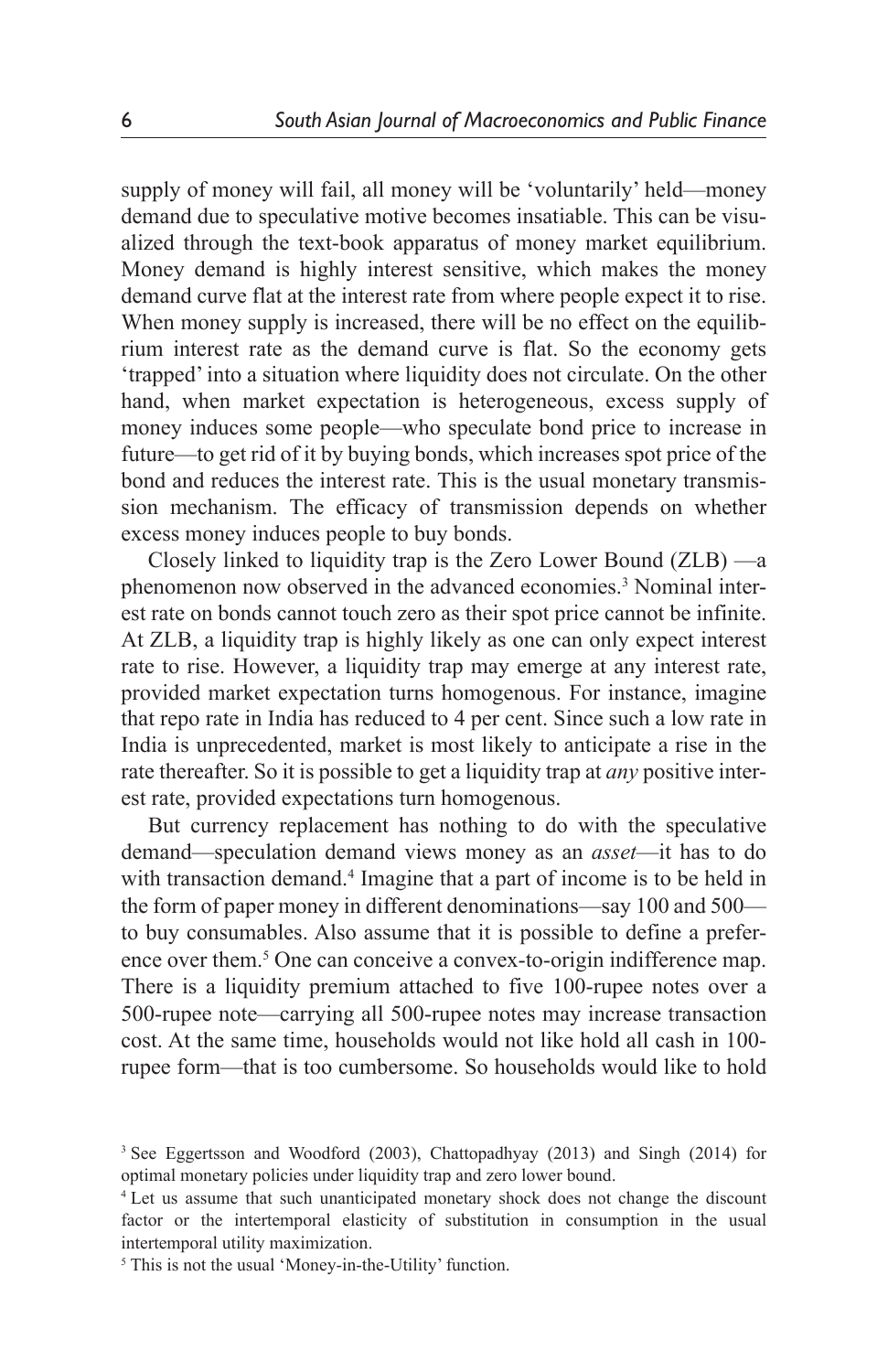supply of money will fail, all money will be 'voluntarily' held—money demand due to speculative motive becomes insatiable. This can be visualized through the text-book apparatus of money market equilibrium. Money demand is highly interest sensitive, which makes the money demand curve flat at the interest rate from where people expect it to rise. When money supply is increased, there will be no effect on the equilibrium interest rate as the demand curve is flat. So the economy gets 'trapped' into a situation where liquidity does not circulate. On the other hand, when market expectation is heterogeneous, excess supply of money induces some people—who speculate bond price to increase in future—to get rid of it by buying bonds, which increases spot price of the bond and reduces the interest rate. This is the usual monetary transmission mechanism. The efficacy of transmission depends on whether excess money induces people to buy bonds.

Closely linked to liquidity trap is the Zero Lower Bound (ZLB) —a phenomenon now observed in the advanced economies.<sup>3</sup> Nominal interest rate on bonds cannot touch zero as their spot price cannot be infinite. At ZLB, a liquidity trap is highly likely as one can only expect interest rate to rise. However, a liquidity trap may emerge at any interest rate, provided market expectation turns homogenous. For instance, imagine that repo rate in India has reduced to 4 per cent. Since such a low rate in India is unprecedented, market is most likely to anticipate a rise in the rate thereafter. So it is possible to get a liquidity trap at *any* positive interest rate, provided expectations turn homogenous.

But currency replacement has nothing to do with the speculative demand—speculation demand views money as an *asset*—it has to do with transaction demand.<sup>4</sup> Imagine that a part of income is to be held in the form of paper money in different denominations—say 100 and 500 to buy consumables. Also assume that it is possible to define a preference over them.<sup>5</sup> One can conceive a convex-to-origin indifference map. There is a liquidity premium attached to five 100-rupee notes over a 500-rupee note—carrying all 500-rupee notes may increase transaction cost. At the same time, households would not like hold all cash in 100 rupee form—that is too cumbersome. So households would like to hold

<sup>3</sup> See Eggertsson and Woodford (2003), Chattopadhyay (2013) and Singh (2014) for optimal monetary policies under liquidity trap and zero lower bound.

<sup>&</sup>lt;sup>4</sup> Let us assume that such unanticipated monetary shock does not change the discount factor or the intertemporal elasticity of substitution in consumption in the usual intertemporal utility maximization.

<sup>&</sup>lt;sup>5</sup> This is not the usual 'Money-in-the-Utility' function.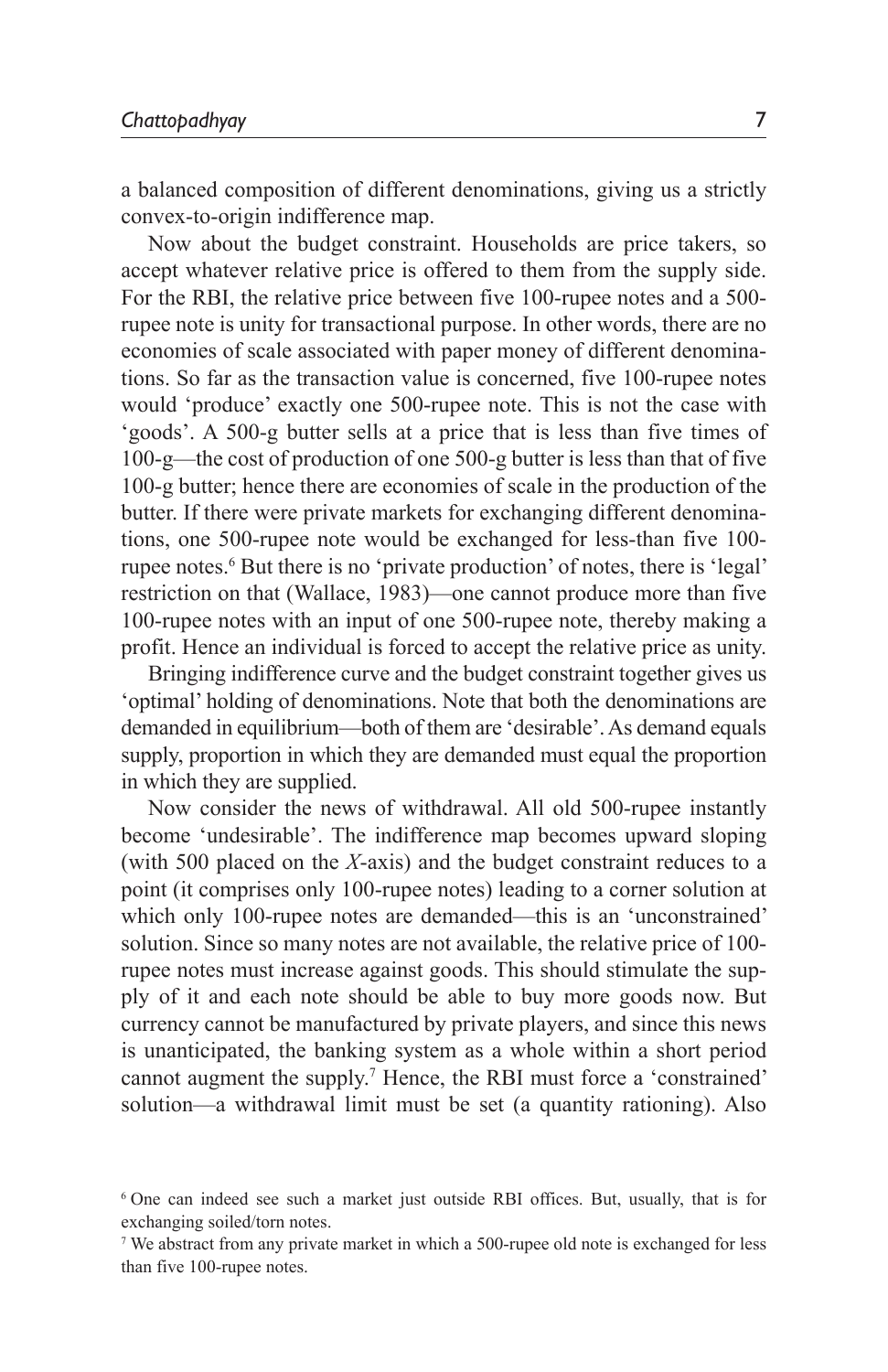a balanced composition of different denominations, giving us a strictly convex-to-origin indifference map.

Now about the budget constraint. Households are price takers, so accept whatever relative price is offered to them from the supply side. For the RBI, the relative price between five 100-rupee notes and a 500 rupee note is unity for transactional purpose. In other words, there are no economies of scale associated with paper money of different denominations. So far as the transaction value is concerned, five 100-rupee notes would 'produce' exactly one 500-rupee note. This is not the case with 'goods'. A 500-g butter sells at a price that is less than five times of 100-g—the cost of production of one 500-g butter is less than that of five 100-g butter; hence there are economies of scale in the production of the butter. If there were private markets for exchanging different denominations, one 500-rupee note would be exchanged for less-than five 100 rupee notes.<sup>6</sup> But there is no 'private production' of notes, there is 'legal' restriction on that (Wallace, 1983)—one cannot produce more than five 100-rupee notes with an input of one 500-rupee note, thereby making a profit. Hence an individual is forced to accept the relative price as unity.

Bringing indifference curve and the budget constraint together gives us 'optimal' holding of denominations. Note that both the denominations are demanded in equilibrium—both of them are 'desirable'. As demand equals supply, proportion in which they are demanded must equal the proportion in which they are supplied.

Now consider the news of withdrawal. All old 500-rupee instantly become 'undesirable'. The indifference map becomes upward sloping (with 500 placed on the *X*-axis) and the budget constraint reduces to a point (it comprises only 100-rupee notes) leading to a corner solution at which only 100-rupee notes are demanded—this is an 'unconstrained' solution. Since so many notes are not available, the relative price of 100 rupee notes must increase against goods. This should stimulate the supply of it and each note should be able to buy more goods now. But currency cannot be manufactured by private players, and since this news is unanticipated, the banking system as a whole within a short period cannot augment the supply.<sup>7</sup> Hence, the RBI must force a 'constrained' solution—a withdrawal limit must be set (a quantity rationing). Also

<sup>6</sup> One can indeed see such a market just outside RBI offices. But, usually, that is for exchanging soiled/torn notes.

<sup>7</sup> We abstract from any private market in which a 500-rupee old note is exchanged for less than five 100-rupee notes.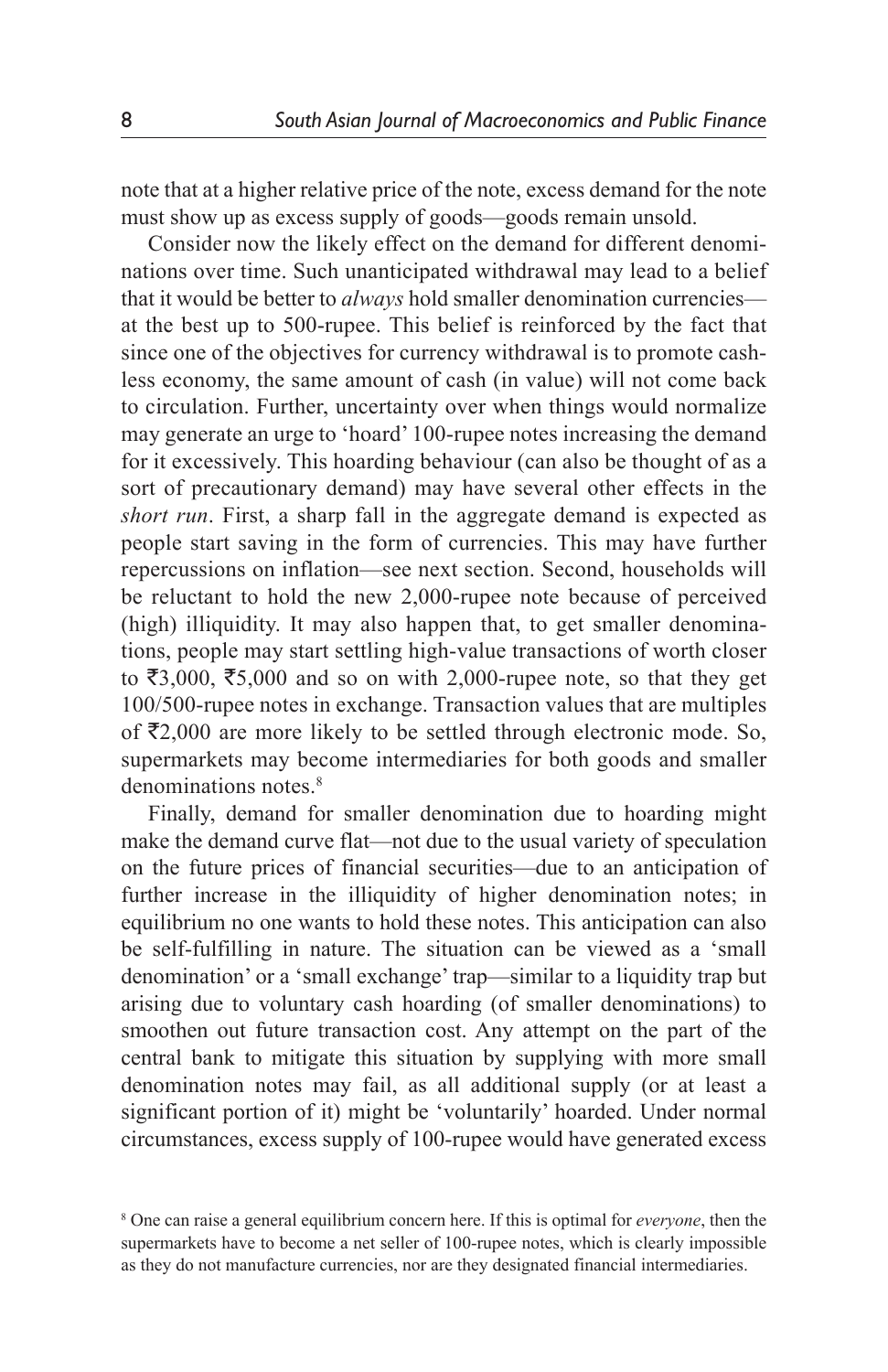note that at a higher relative price of the note, excess demand for the note must show up as excess supply of goods—goods remain unsold.

Consider now the likely effect on the demand for different denominations over time. Such unanticipated withdrawal may lead to a belief that it would be better to *always* hold smaller denomination currencies at the best up to 500-rupee. This belief is reinforced by the fact that since one of the objectives for currency withdrawal is to promote cashless economy, the same amount of cash (in value) will not come back to circulation. Further, uncertainty over when things would normalize may generate an urge to 'hoard' 100-rupee notes increasing the demand for it excessively. This hoarding behaviour (can also be thought of as a sort of precautionary demand) may have several other effects in the *short run*. First, a sharp fall in the aggregate demand is expected as people start saving in the form of currencies. This may have further repercussions on inflation—see next section. Second, households will be reluctant to hold the new 2,000-rupee note because of perceived (high) illiquidity. It may also happen that, to get smaller denominations, people may start settling high-value transactions of worth closer to  $\overline{\xi}3,000, \overline{\xi}5,000$  and so on with 2,000-rupee note, so that they get 100/500-rupee notes in exchange. Transaction values that are multiples of  $\bar{\mathcal{L}}2,000$  are more likely to be settled through electronic mode. So, supermarkets may become intermediaries for both goods and smaller denominations notes.<sup>8</sup>

Finally, demand for smaller denomination due to hoarding might make the demand curve flat—not due to the usual variety of speculation on the future prices of financial securities—due to an anticipation of further increase in the illiquidity of higher denomination notes; in equilibrium no one wants to hold these notes. This anticipation can also be self-fulfilling in nature. The situation can be viewed as a 'small denomination' or a 'small exchange' trap—similar to a liquidity trap but arising due to voluntary cash hoarding (of smaller denominations) to smoothen out future transaction cost. Any attempt on the part of the central bank to mitigate this situation by supplying with more small denomination notes may fail, as all additional supply (or at least a significant portion of it) might be 'voluntarily' hoarded. Under normal circumstances, excess supply of 100-rupee would have generated excess

<sup>8</sup> One can raise a general equilibrium concern here. If this is optimal for *everyone*, then the supermarkets have to become a net seller of 100-rupee notes, which is clearly impossible as they do not manufacture currencies, nor are they designated financial intermediaries.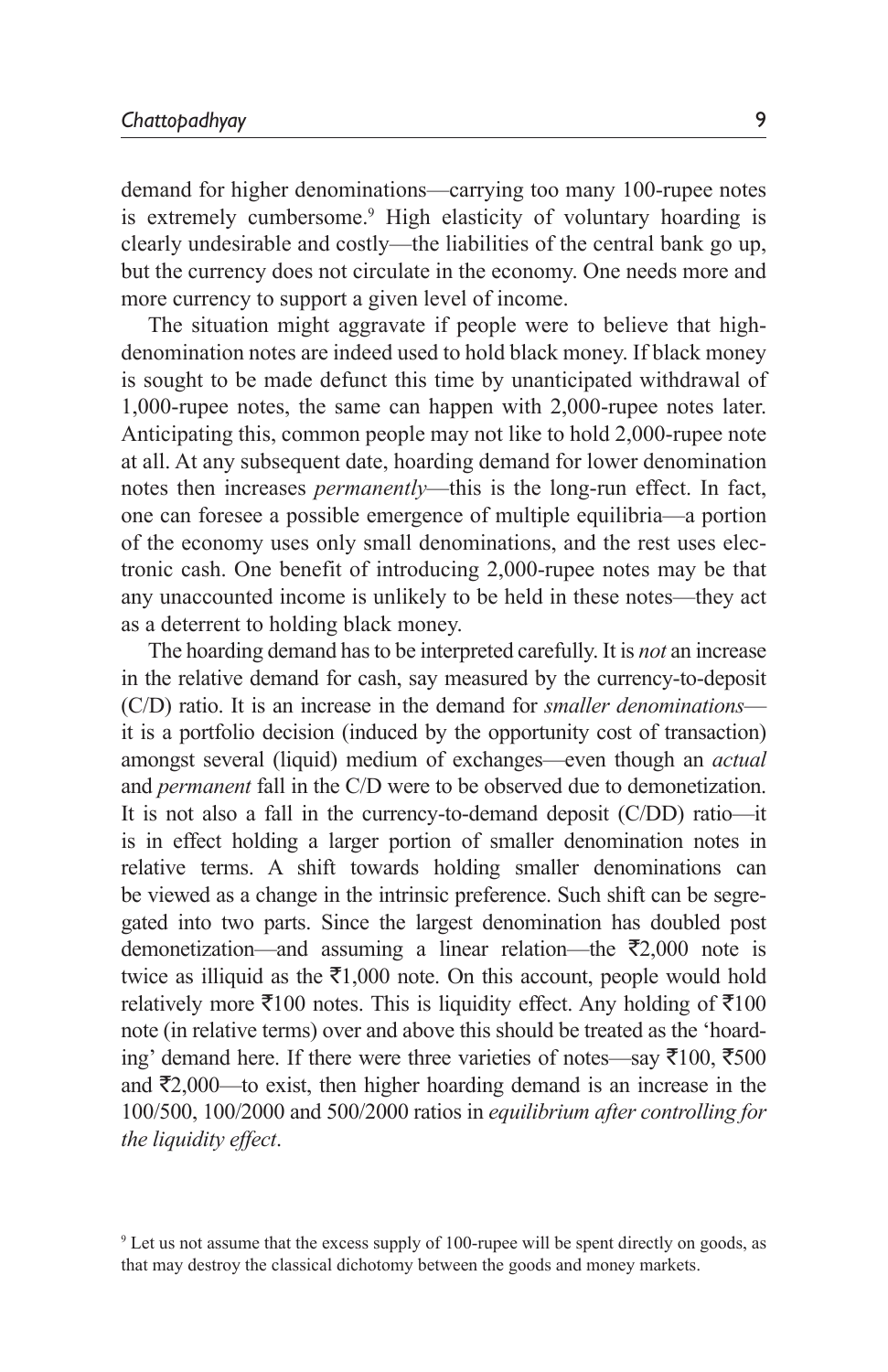demand for higher denominations—carrying too many 100-rupee notes is extremely cumbersome.<sup>9</sup> High elasticity of voluntary hoarding is clearly undesirable and costly—the liabilities of the central bank go up, but the currency does not circulate in the economy. One needs more and more currency to support a given level of income.

The situation might aggravate if people were to believe that highdenomination notes are indeed used to hold black money. If black money is sought to be made defunct this time by unanticipated withdrawal of 1,000-rupee notes, the same can happen with 2,000-rupee notes later. Anticipating this, common people may not like to hold 2,000-rupee note at all. At any subsequent date, hoarding demand for lower denomination notes then increases *permanently*—this is the long-run effect. In fact, one can foresee a possible emergence of multiple equilibria—a portion of the economy uses only small denominations, and the rest uses electronic cash. One benefit of introducing 2,000-rupee notes may be that any unaccounted income is unlikely to be held in these notes—they act as a deterrent to holding black money.

The hoarding demand has to be interpreted carefully. It is *not* an increase in the relative demand for cash, say measured by the currency-to-deposit (C/D) ratio. It is an increase in the demand for *smaller denominations* it is a portfolio decision (induced by the opportunity cost of transaction) amongst several (liquid) medium of exchanges—even though an *actual* and *permanent* fall in the C/D were to be observed due to demonetization. It is not also a fall in the currency-to-demand deposit (C/DD) ratio—it is in effect holding a larger portion of smaller denomination notes in relative terms. A shift towards holding smaller denominations can be viewed as a change in the intrinsic preference. Such shift can be segregated into two parts. Since the largest denomination has doubled post demonetization—and assuming a linear relation—the  $\overline{z}2,000$  note is twice as illiquid as the  $\bar{\mathfrak{z}}1,000$  note. On this account, people would hold relatively more  $\bar{\mathfrak{g}} 100$  notes. This is liquidity effect. Any holding of  $\bar{\mathfrak{g}} 100$ note (in relative terms) over and above this should be treated as the 'hoarding' demand here. If there were three varieties of notes—say  $\bar{\tau}100$ ,  $\bar{\tau}500$ and  $\bar{\mathcal{F}}2,000$ —to exist, then higher hoarding demand is an increase in the 100/500, 100/2000 and 500/2000 ratios in *equilibrium after controlling for the liquidity effect*.

<sup>9</sup> Let us not assume that the excess supply of 100-rupee will be spent directly on goods, as that may destroy the classical dichotomy between the goods and money markets.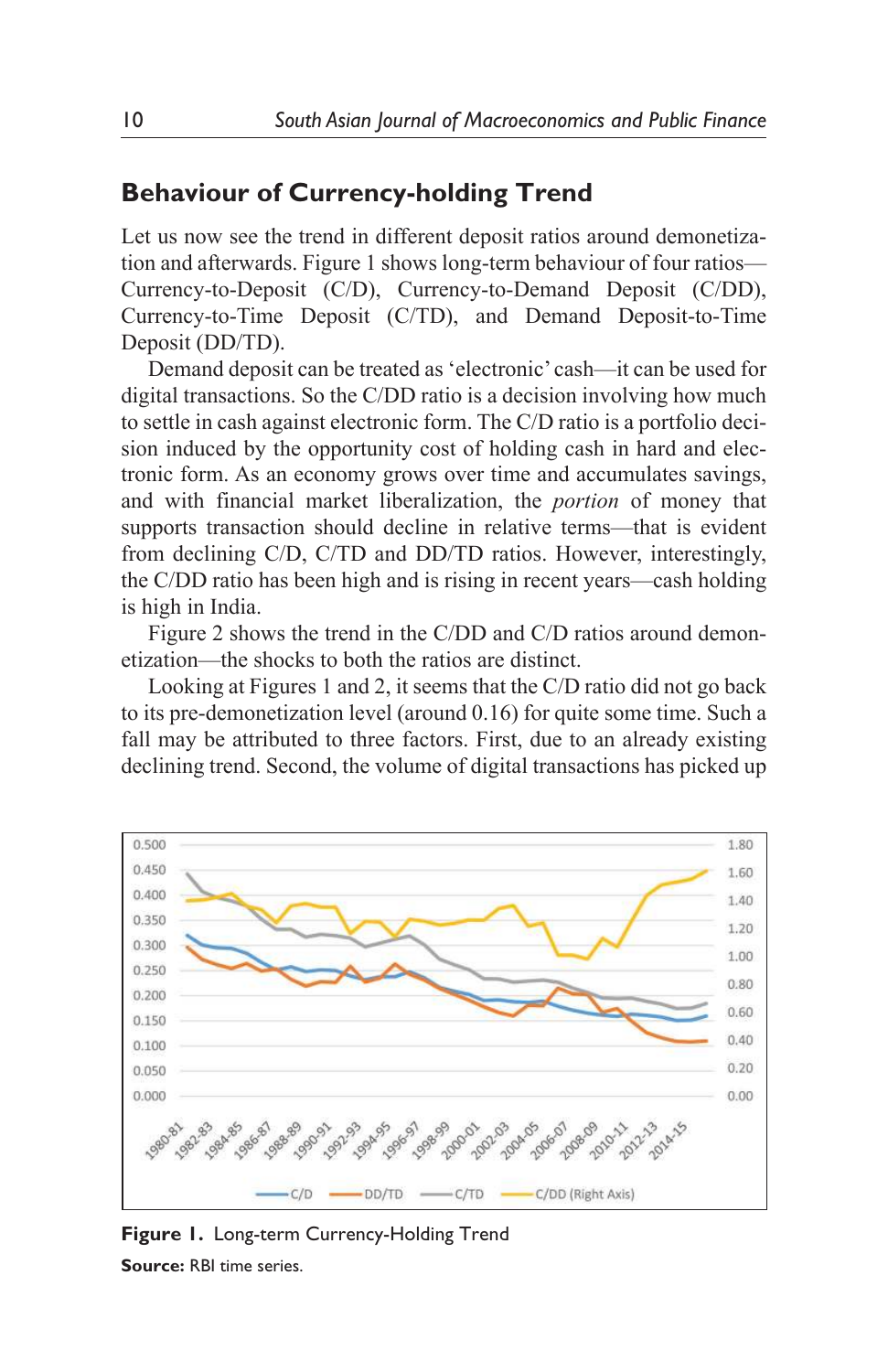# **Behaviour of Currency-holding Trend**

Let us now see the trend in different deposit ratios around demonetization and afterwards. Figure 1 shows long-term behaviour of four ratios— Currency-to-Deposit (C/D), Currency-to-Demand Deposit (C/DD), Currency-to-Time Deposit (C/TD), and Demand Deposit-to-Time Deposit (DD/TD).

Demand deposit can be treated as 'electronic' cash—it can be used for digital transactions. So the C/DD ratio is a decision involving how much to settle in cash against electronic form. The C/D ratio is a portfolio decision induced by the opportunity cost of holding cash in hard and electronic form. As an economy grows over time and accumulates savings, and with financial market liberalization, the *portion* of money that supports transaction should decline in relative terms—that is evident from declining C/D, C/TD and DD/TD ratios. However, interestingly, the C/DD ratio has been high and is rising in recent years—cash holding is high in India.

Figure 2 shows the trend in the C/DD and C/D ratios around demonetization—the shocks to both the ratios are distinct.

Looking at Figures 1 and 2, it seems that the C/D ratio did not go back to its pre-demonetization level (around 0.16) for quite some time. Such a fall may be attributed to three factors. First, due to an already existing declining trend. Second, the volume of digital transactions has picked up



**Figure 1.** Long-term Currency-Holding Trend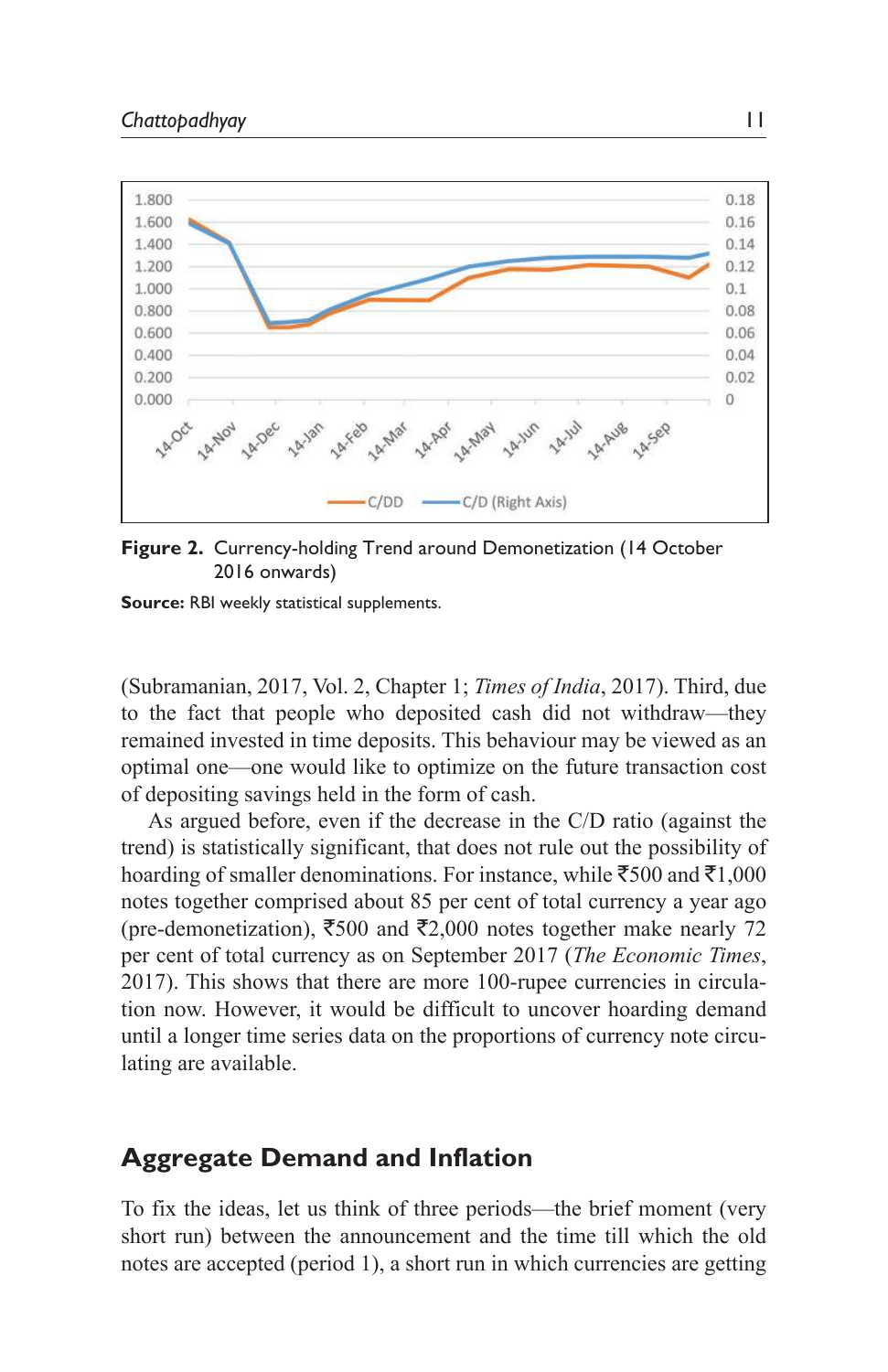

**Figure 2.** Currency-holding Trend around Demonetization (14 October 2016 onwards)

**Source:** RBI weekly statistical supplements.

(Subramanian, 2017, Vol. 2, Chapter 1; *Times of India*, 2017). Third, due to the fact that people who deposited cash did not withdraw—they remained invested in time deposits. This behaviour may be viewed as an optimal one—one would like to optimize on the future transaction cost of depositing savings held in the form of cash.

As argued before, even if the decrease in the C/D ratio (against the trend) is statistically significant, that does not rule out the possibility of hoarding of smaller denominations. For instance, while  $\bar{5}00$  and  $\bar{5}1,000$ notes together comprised about 85 per cent of total currency a year ago (pre-demonetization),  $\overline{5500}$  and  $\overline{52,000}$  notes together make nearly 72 per cent of total currency as on September 2017 (*The Economic Times*, 2017). This shows that there are more 100-rupee currencies in circulation now. However, it would be difficult to uncover hoarding demand until a longer time series data on the proportions of currency note circulating are available.

### **Aggregate Demand and Inflation**

To fix the ideas, let us think of three periods—the brief moment (very short run) between the announcement and the time till which the old notes are accepted (period 1), a short run in which currencies are getting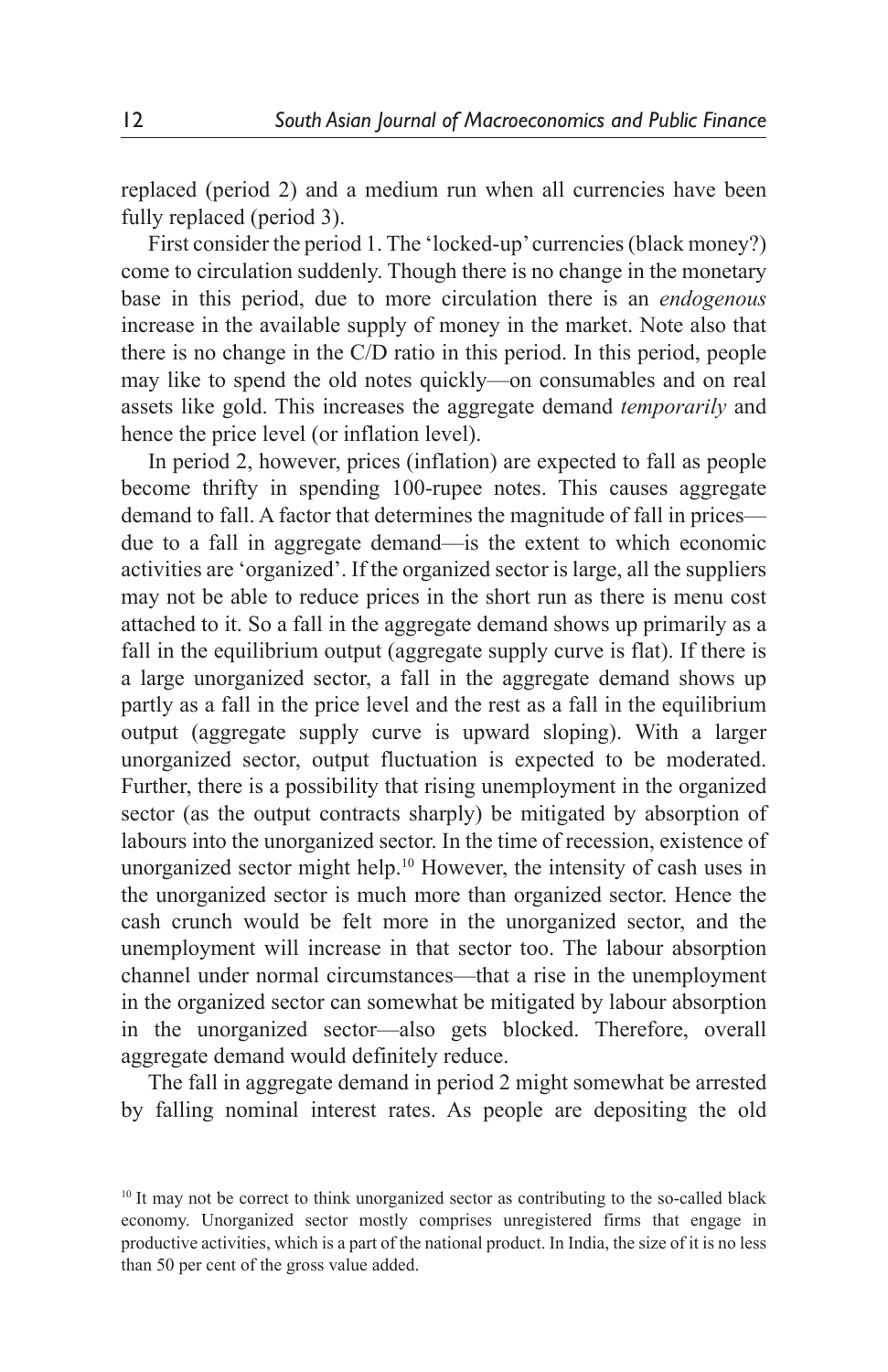replaced (period 2) and a medium run when all currencies have been fully replaced (period 3).

First consider the period 1. The 'locked-up' currencies (black money?) come to circulation suddenly. Though there is no change in the monetary base in this period, due to more circulation there is an *endogenous* increase in the available supply of money in the market. Note also that there is no change in the C/D ratio in this period. In this period, people may like to spend the old notes quickly—on consumables and on real assets like gold. This increases the aggregate demand *temporarily* and hence the price level (or inflation level).

In period 2, however, prices (inflation) are expected to fall as people become thrifty in spending 100-rupee notes. This causes aggregate demand to fall. A factor that determines the magnitude of fall in prices due to a fall in aggregate demand—is the extent to which economic activities are 'organized'. If the organized sector is large, all the suppliers may not be able to reduce prices in the short run as there is menu cost attached to it. So a fall in the aggregate demand shows up primarily as a fall in the equilibrium output (aggregate supply curve is flat). If there is a large unorganized sector, a fall in the aggregate demand shows up partly as a fall in the price level and the rest as a fall in the equilibrium output (aggregate supply curve is upward sloping). With a larger unorganized sector, output fluctuation is expected to be moderated. Further, there is a possibility that rising unemployment in the organized sector (as the output contracts sharply) be mitigated by absorption of labours into the unorganized sector. In the time of recession, existence of unorganized sector might help.<sup>10</sup> However, the intensity of cash uses in the unorganized sector is much more than organized sector. Hence the cash crunch would be felt more in the unorganized sector, and the unemployment will increase in that sector too. The labour absorption channel under normal circumstances—that a rise in the unemployment in the organized sector can somewhat be mitigated by labour absorption in the unorganized sector—also gets blocked. Therefore, overall aggregate demand would definitely reduce.

The fall in aggregate demand in period 2 might somewhat be arrested by falling nominal interest rates. As people are depositing the old

<sup>&</sup>lt;sup>10</sup> It may not be correct to think unorganized sector as contributing to the so-called black economy. Unorganized sector mostly comprises unregistered firms that engage in productive activities, which is a part of the national product. In India, the size of it is no less than 50 per cent of the gross value added.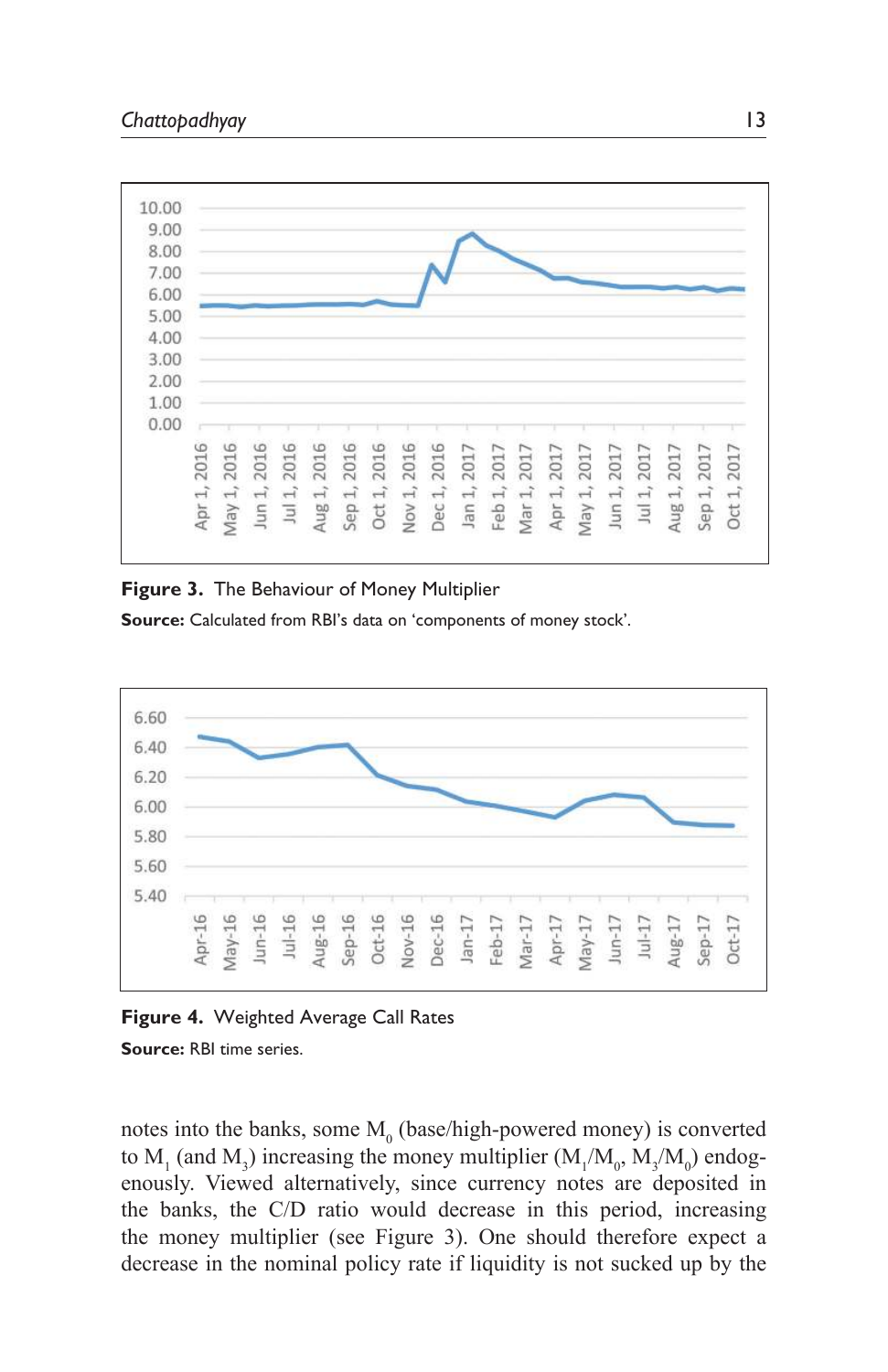

#### **Figure 3.** The Behaviour of Money Multiplier

**Source:** Calculated from RBI's data on 'components of money stock'.





**Source:** RBI time series.

notes into the banks, some  $M_0$  (base/high-powered money) is converted to  $M_1$  (and  $M_3$ ) increasing the money multiplier ( $M_1/M_0$ ,  $M_3/M_0$ ) endogenously. Viewed alternatively, since currency notes are deposited in the banks, the C/D ratio would decrease in this period, increasing the money multiplier (see Figure 3). One should therefore expect a decrease in the nominal policy rate if liquidity is not sucked up by the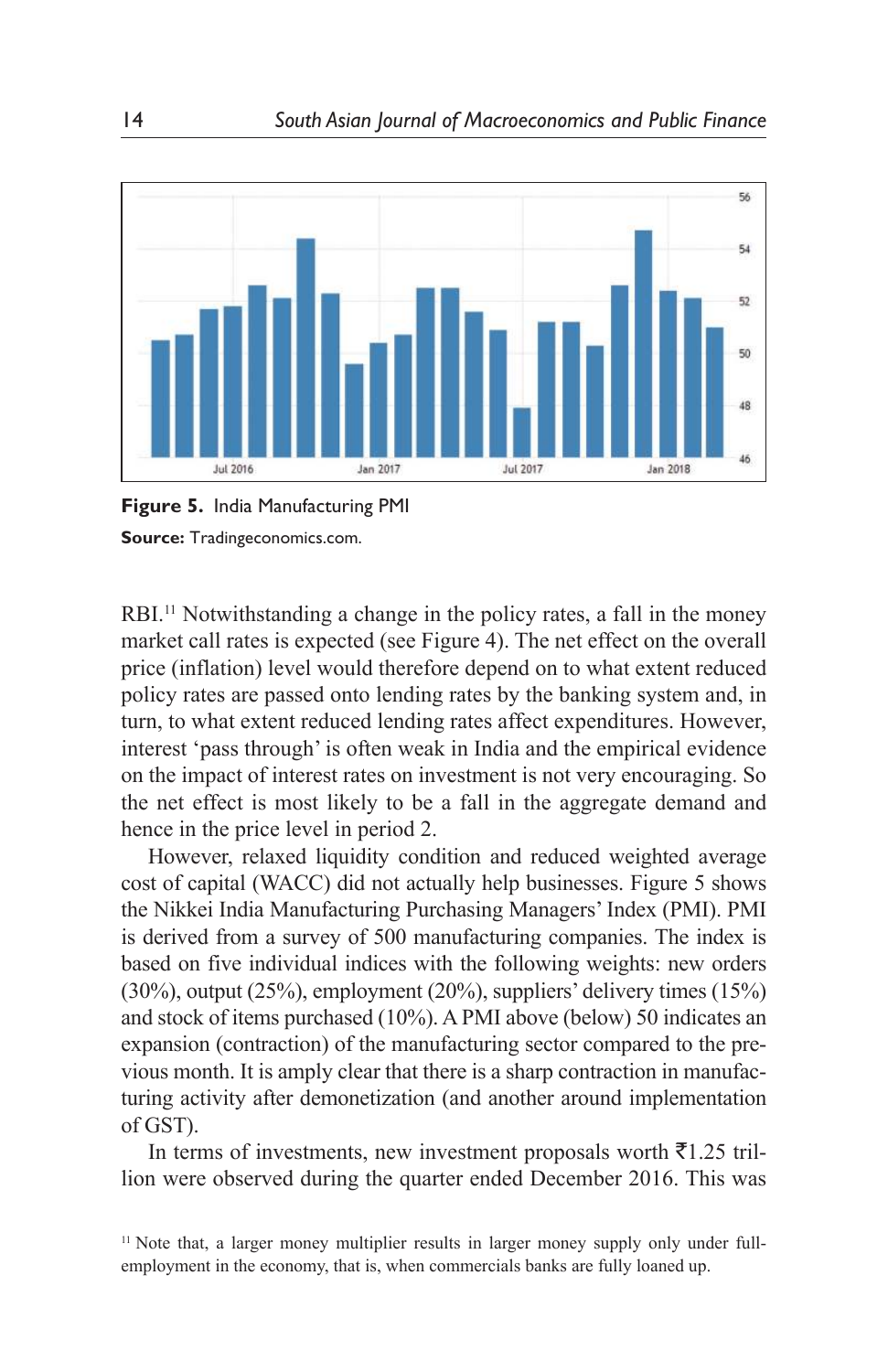



RBI.<sup>11</sup> Notwithstanding a change in the policy rates, a fall in the money market call rates is expected (see Figure 4). The net effect on the overall price (inflation) level would therefore depend on to what extent reduced policy rates are passed onto lending rates by the banking system and, in turn, to what extent reduced lending rates affect expenditures. However, interest 'pass through' is often weak in India and the empirical evidence on the impact of interest rates on investment is not very encouraging. So the net effect is most likely to be a fall in the aggregate demand and hence in the price level in period 2.

However, relaxed liquidity condition and reduced weighted average cost of capital (WACC) did not actually help businesses. Figure 5 shows the Nikkei India Manufacturing Purchasing Managers' Index (PMI). PMI is derived from a survey of 500 manufacturing companies. The index is based on five individual indices with the following weights: new orders (30%), output (25%), employment (20%), suppliers' delivery times (15%) and stock of items purchased (10%). A PMI above (below) 50 indicates an expansion (contraction) of the manufacturing sector compared to the previous month. It is amply clear that there is a sharp contraction in manufacturing activity after demonetization (and another around implementation of GST).

In terms of investments, new investment proposals worth  $\bar{\tau}$ 1.25 trillion were observed during the quarter ended December 2016. This was

<sup>11</sup> Note that, a larger money multiplier results in larger money supply only under fullemployment in the economy, that is, when commercials banks are fully loaned up.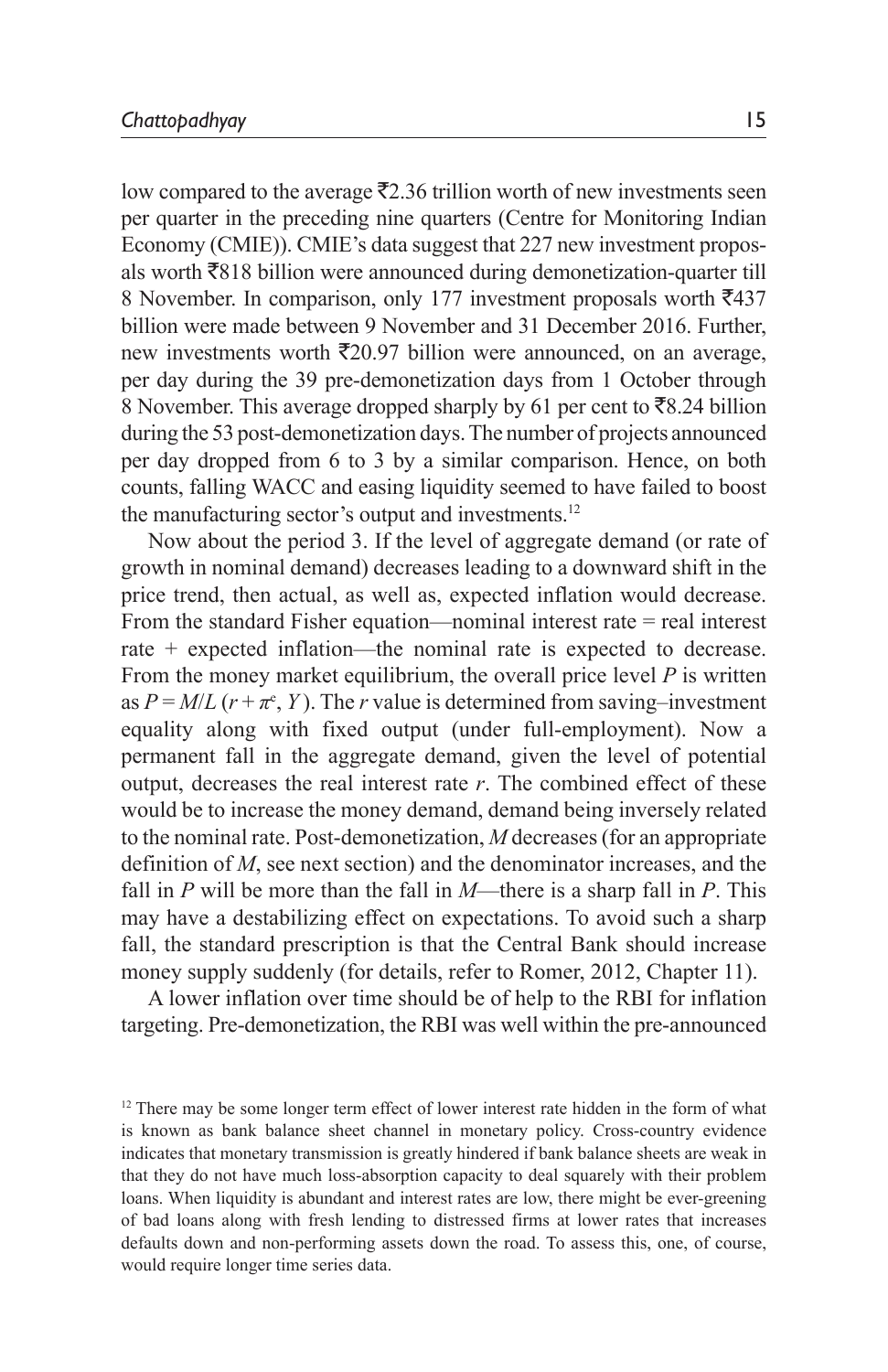low compared to the average  $\bar{\mathcal{F}}$ 2.36 trillion worth of new investments seen per quarter in the preceding nine quarters (Centre for Monitoring Indian Economy (CMIE)). CMIE's data suggest that 227 new investment proposals worth  $\overline{8}818$  billion were announced during demonetization-quarter till 8 November. In comparison, only 177 investment proposals worth  $\overline{5}437$ billion were made between 9 November and 31 December 2016. Further, new investments worth  $\bar{\tau}$ 20.97 billion were announced, on an average, per day during the 39 pre-demonetization days from 1 October through 8 November. This average dropped sharply by 61 per cent to  $\bar{z}8.24$  billion during the 53 post-demonetization days. The number of projects announced per day dropped from 6 to 3 by a similar comparison. Hence, on both counts, falling WACC and easing liquidity seemed to have failed to boost the manufacturing sector's output and investments.<sup>12</sup>

Now about the period 3. If the level of aggregate demand (or rate of growth in nominal demand) decreases leading to a downward shift in the price trend, then actual, as well as, expected inflation would decrease. From the standard Fisher equation—nominal interest rate = real interest rate + expected inflation—the nominal rate is expected to decrease. From the money market equilibrium, the overall price level *P* is written as  $P = M/L (r + \pi^e, Y)$ . The *r* value is determined from saving–investment equality along with fixed output (under full-employment). Now a permanent fall in the aggregate demand, given the level of potential output, decreases the real interest rate *r*. The combined effect of these would be to increase the money demand, demand being inversely related to the nominal rate. Post-demonetization, *M* decreases (for an appropriate definition of *M*, see next section) and the denominator increases, and the fall in *P* will be more than the fall in *M*—there is a sharp fall in *P*. This may have a destabilizing effect on expectations. To avoid such a sharp fall, the standard prescription is that the Central Bank should increase money supply suddenly (for details, refer to Romer, 2012, Chapter 11).

A lower inflation over time should be of help to the RBI for inflation targeting. Pre-demonetization, the RBI was well within the pre-announced

<sup>&</sup>lt;sup>12</sup> There may be some longer term effect of lower interest rate hidden in the form of what is known as bank balance sheet channel in monetary policy. Cross-country evidence indicates that monetary transmission is greatly hindered if bank balance sheets are weak in that they do not have much loss-absorption capacity to deal squarely with their problem loans. When liquidity is abundant and interest rates are low, there might be ever-greening of bad loans along with fresh lending to distressed firms at lower rates that increases defaults down and non-performing assets down the road. To assess this, one, of course, would require longer time series data.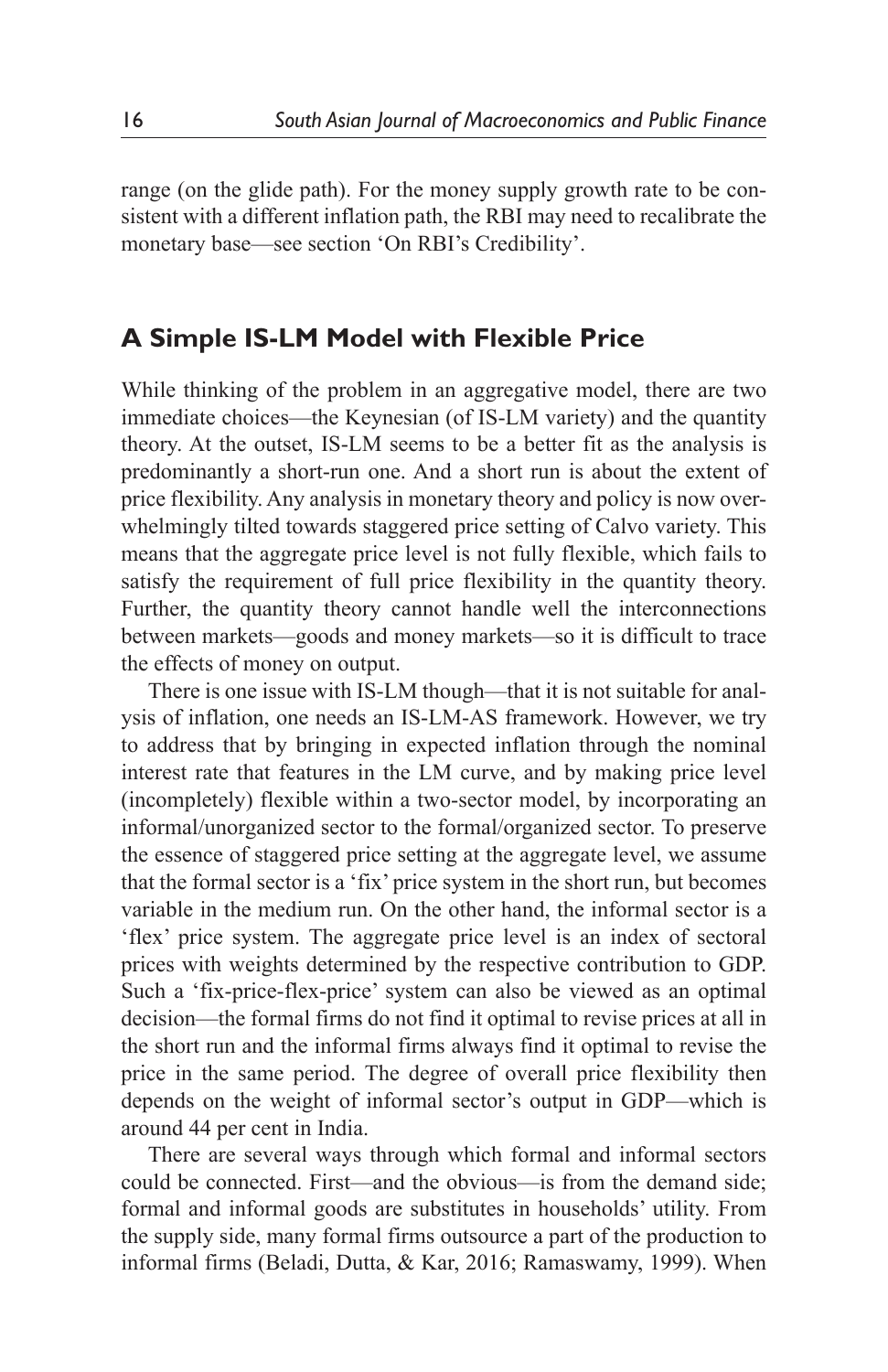range (on the glide path). For the money supply growth rate to be consistent with a different inflation path, the RBI may need to recalibrate the monetary base—see section 'On RBI's Credibility'.

# **A Simple IS-LM Model with Flexible Price**

While thinking of the problem in an aggregative model, there are two immediate choices—the Keynesian (of IS-LM variety) and the quantity theory. At the outset, IS-LM seems to be a better fit as the analysis is predominantly a short-run one. And a short run is about the extent of price flexibility. Any analysis in monetary theory and policy is now overwhelmingly tilted towards staggered price setting of Calvo variety. This means that the aggregate price level is not fully flexible, which fails to satisfy the requirement of full price flexibility in the quantity theory. Further, the quantity theory cannot handle well the interconnections between markets—goods and money markets—so it is difficult to trace the effects of money on output.

There is one issue with IS-LM though—that it is not suitable for analysis of inflation, one needs an IS-LM-AS framework. However, we try to address that by bringing in expected inflation through the nominal interest rate that features in the LM curve, and by making price level (incompletely) flexible within a two-sector model, by incorporating an informal/unorganized sector to the formal/organized sector. To preserve the essence of staggered price setting at the aggregate level, we assume that the formal sector is a 'fix' price system in the short run, but becomes variable in the medium run. On the other hand, the informal sector is a 'flex' price system. The aggregate price level is an index of sectoral prices with weights determined by the respective contribution to GDP. Such a 'fix-price-flex-price' system can also be viewed as an optimal decision—the formal firms do not find it optimal to revise prices at all in the short run and the informal firms always find it optimal to revise the price in the same period. The degree of overall price flexibility then depends on the weight of informal sector's output in GDP—which is around 44 per cent in India.

There are several ways through which formal and informal sectors could be connected. First—and the obvious—is from the demand side; formal and informal goods are substitutes in households' utility. From the supply side, many formal firms outsource a part of the production to informal firms (Beladi, Dutta, & Kar, 2016; Ramaswamy, 1999). When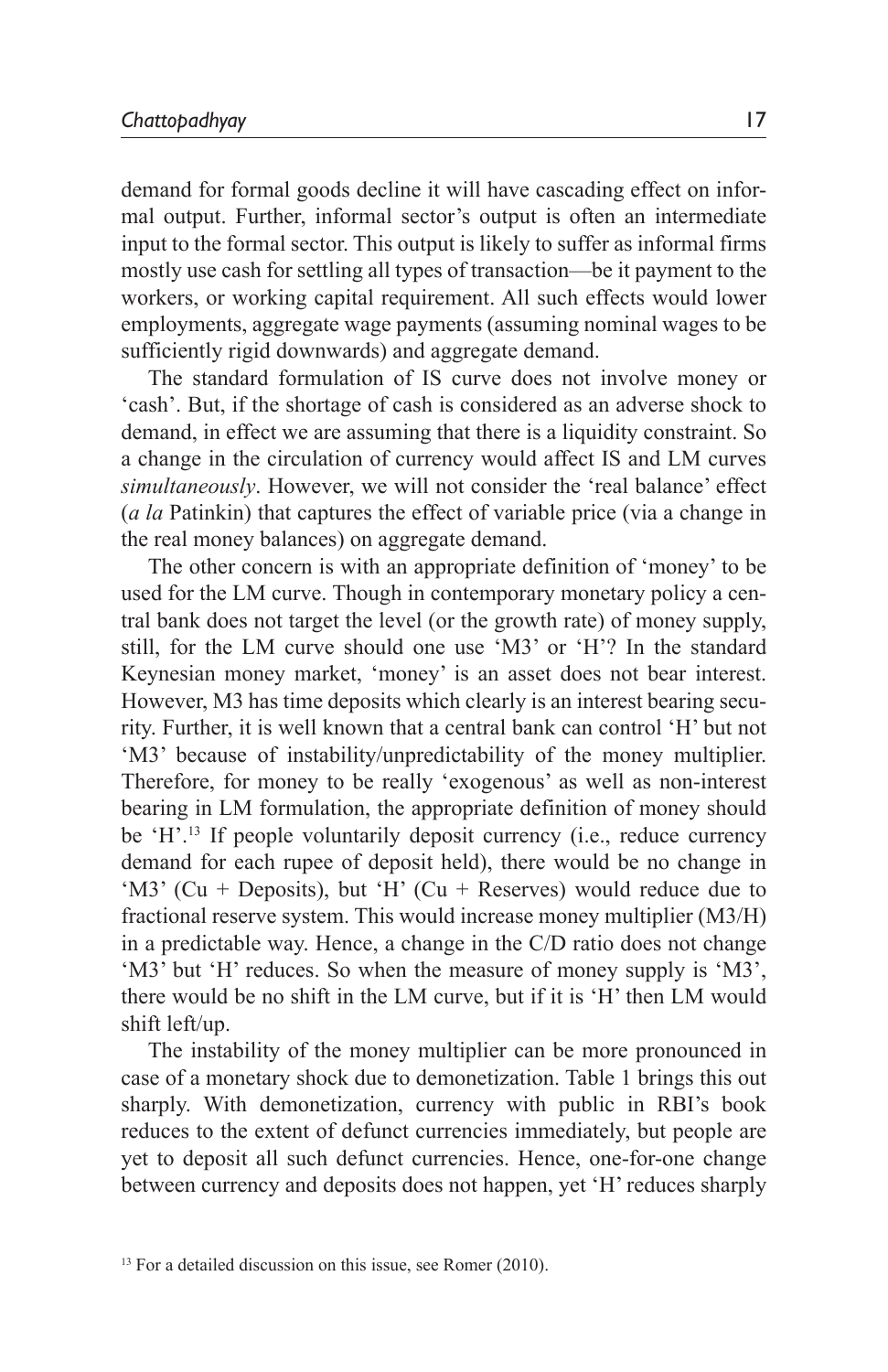demand for formal goods decline it will have cascading effect on informal output. Further, informal sector's output is often an intermediate input to the formal sector. This output is likely to suffer as informal firms mostly use cash for settling all types of transaction—be it payment to the workers, or working capital requirement. All such effects would lower employments, aggregate wage payments (assuming nominal wages to be sufficiently rigid downwards) and aggregate demand.

The standard formulation of IS curve does not involve money or 'cash'. But, if the shortage of cash is considered as an adverse shock to demand, in effect we are assuming that there is a liquidity constraint. So a change in the circulation of currency would affect IS and LM curves *simultaneously*. However, we will not consider the 'real balance' effect (*a la* Patinkin) that captures the effect of variable price (via a change in the real money balances) on aggregate demand.

The other concern is with an appropriate definition of 'money' to be used for the LM curve. Though in contemporary monetary policy a central bank does not target the level (or the growth rate) of money supply, still, for the LM curve should one use 'M3' or 'H'? In the standard Keynesian money market, 'money' is an asset does not bear interest. However, M3 has time deposits which clearly is an interest bearing security. Further, it is well known that a central bank can control 'H' but not 'M3' because of instability/unpredictability of the money multiplier. Therefore, for money to be really 'exogenous' as well as non-interest bearing in LM formulation, the appropriate definition of money should be 'H'.<sup>13</sup> If people voluntarily deposit currency (i.e., reduce currency demand for each rupee of deposit held), there would be no change in 'M3' (Cu + Deposits), but 'H' (Cu + Reserves) would reduce due to fractional reserve system. This would increase money multiplier (M3/H) in a predictable way. Hence, a change in the C/D ratio does not change 'M3' but 'H' reduces. So when the measure of money supply is 'M3', there would be no shift in the LM curve, but if it is 'H' then LM would shift left/up.

The instability of the money multiplier can be more pronounced in case of a monetary shock due to demonetization. Table 1 brings this out sharply. With demonetization, currency with public in RBI's book reduces to the extent of defunct currencies immediately, but people are yet to deposit all such defunct currencies. Hence, one-for-one change between currency and deposits does not happen, yet 'H' reduces sharply

<sup>&</sup>lt;sup>13</sup> For a detailed discussion on this issue, see Romer (2010).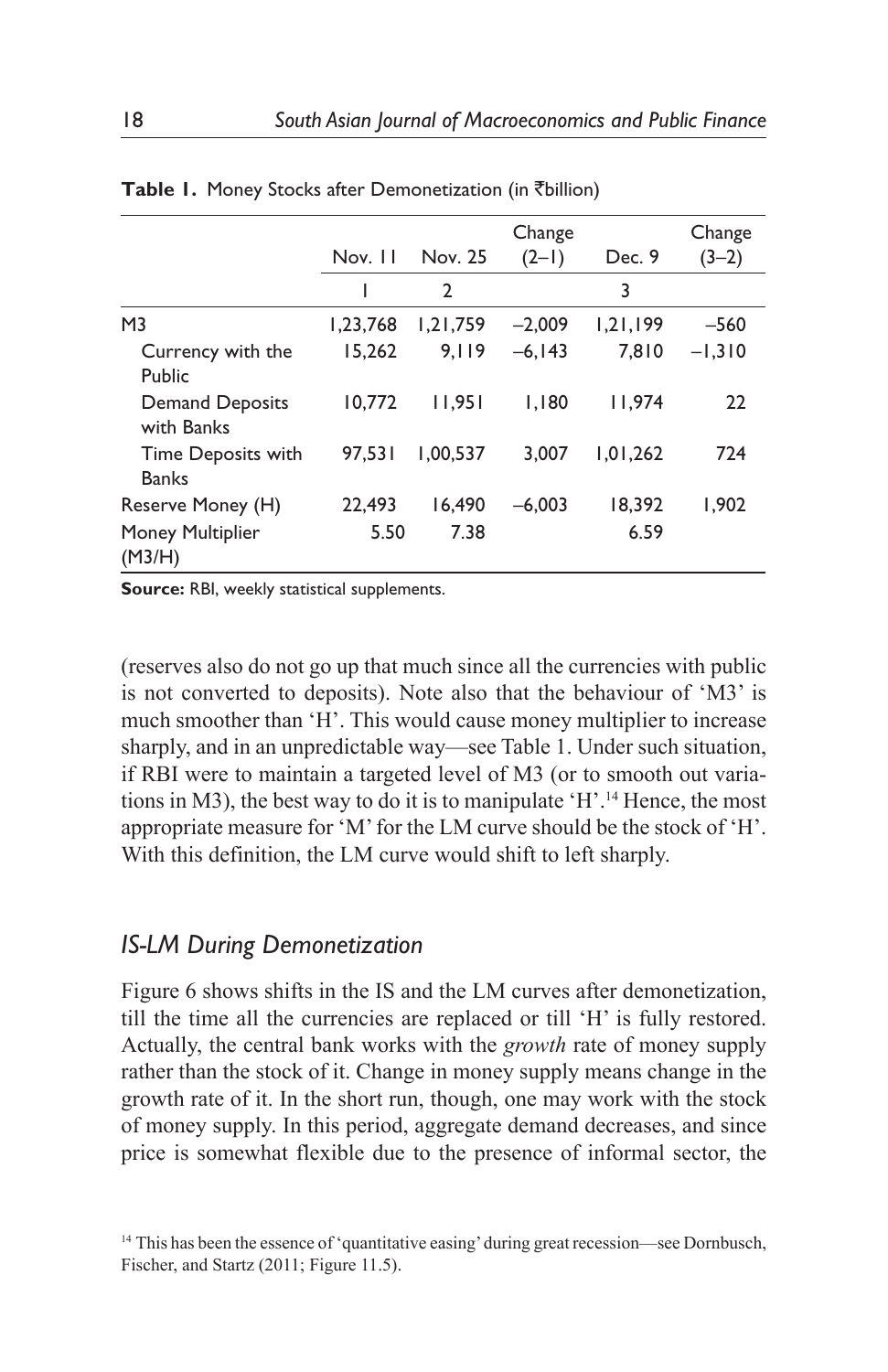|                                      |          | Change       |           |          |          |
|--------------------------------------|----------|--------------|-----------|----------|----------|
|                                      | Nov. 11  | Nov. 25      | $(2-1)$   | Dec. 9   | $(3-2)$  |
|                                      | ı        | $\mathbf{2}$ |           | 3        |          |
| M <sub>3</sub>                       | 1.23.768 | 1.21.759     | $-2.009$  | 1.21.199 | $-560$   |
| Currency with the<br>Public          | 15.262   | 9.119        | $-6, 143$ | 7.810    | $-1,310$ |
| <b>Demand Deposits</b><br>with Banks | 10,772   | 11.951       | 1.180     | 11.974   | 22       |
| Time Deposits with<br><b>Banks</b>   | 97.531   | 1.00.537     | 3.007     | 1.01.262 | 724      |
| Reserve Money (H)                    | 22,493   | 16.490       | $-6.003$  | 18.392   | 1.902    |
| Money Multiplier<br>(M3/H)           | 5.50     | 7.38         |           | 6.59     |          |

|  |  |  |  |  | Table 1. Money Stocks after Demonetization (in ₹billion) |  |  |  |
|--|--|--|--|--|----------------------------------------------------------|--|--|--|
|--|--|--|--|--|----------------------------------------------------------|--|--|--|

**Source:** RBI, weekly statistical supplements.

(reserves also do not go up that much since all the currencies with public is not converted to deposits). Note also that the behaviour of 'M3' is much smoother than 'H'. This would cause money multiplier to increase sharply, and in an unpredictable way—see Table 1. Under such situation, if RBI were to maintain a targeted level of M3 (or to smooth out variations in M3), the best way to do it is to manipulate 'H'.<sup>14</sup> Hence, the most appropriate measure for 'M' for the LM curve should be the stock of 'H'. With this definition, the LM curve would shift to left sharply.

### *IS-LM During Demonetization*

Figure 6 shows shifts in the IS and the LM curves after demonetization, till the time all the currencies are replaced or till 'H' is fully restored. Actually, the central bank works with the *growth* rate of money supply rather than the stock of it. Change in money supply means change in the growth rate of it. In the short run, though, one may work with the stock of money supply. In this period, aggregate demand decreases, and since price is somewhat flexible due to the presence of informal sector, the

<sup>&</sup>lt;sup>14</sup> This has been the essence of 'quantitative easing' during great recession—see Dornbusch, Fischer, and Startz (2011; Figure 11.5).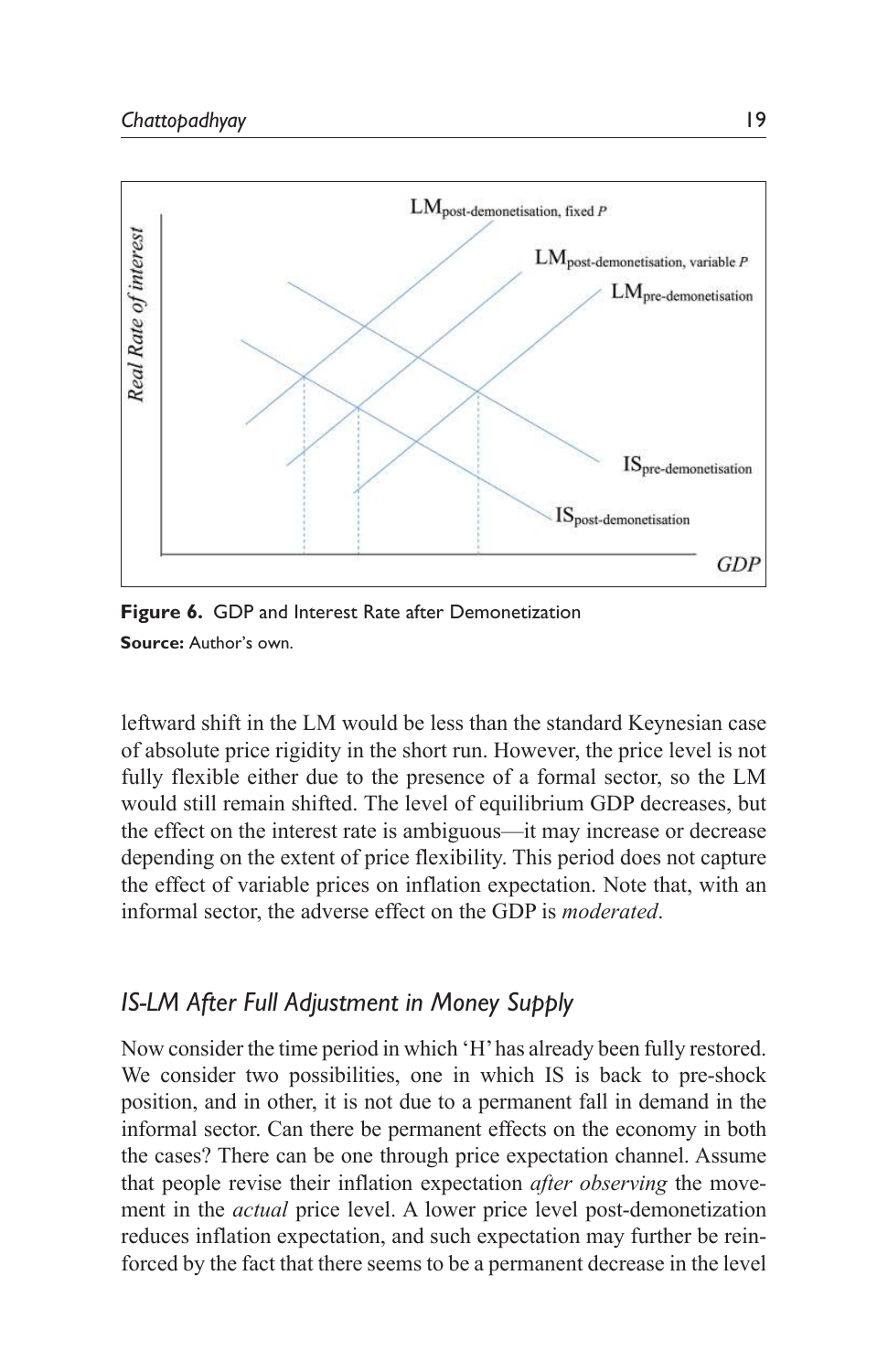

**Figure 6.** GDP and Interest Rate after Demonetization **Source:** Author's own.

leftward shift in the LM would be less than the standard Keynesian case of absolute price rigidity in the short run. However, the price level is not fully flexible either due to the presence of a formal sector, so the LM would still remain shifted. The level of equilibrium GDP decreases, but the effect on the interest rate is ambiguous—it may increase or decrease depending on the extent of price flexibility. This period does not capture the effect of variable prices on inflation expectation. Note that, with an informal sector, the adverse effect on the GDP is *moderated*.

# *IS-LM After Full Adjustment in Money Supply*

Now consider the time period in which 'H' has already been fully restored. We consider two possibilities, one in which IS is back to pre-shock position, and in other, it is not due to a permanent fall in demand in the informal sector. Can there be permanent effects on the economy in both the cases? There can be one through price expectation channel. Assume that people revise their inflation expectation *after observing* the movement in the *actual* price level. A lower price level post-demonetization reduces inflation expectation, and such expectation may further be reinforced by the fact that there seems to be a permanent decrease in the level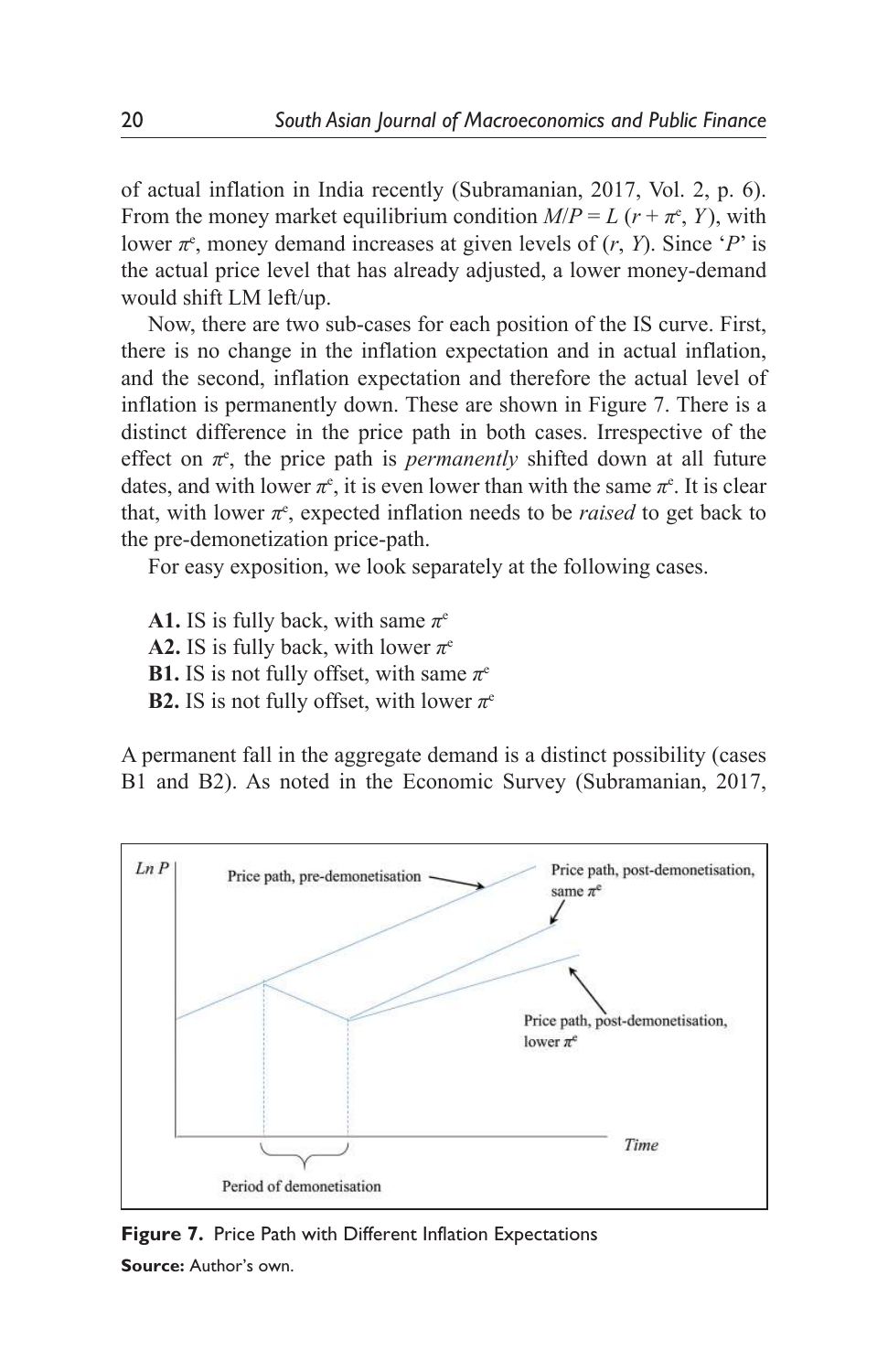of actual inflation in India recently (Subramanian, 2017, Vol. 2, p. 6). From the money market equilibrium condition  $M/P = L (r + \pi^e, Y)$ , with lower  $\pi$ <sup>e</sup>, money demand increases at given levels of  $(r, Y)$ . Since '*P*' is the actual price level that has already adjusted, a lower money-demand would shift LM left/up.

Now, there are two sub-cases for each position of the IS curve. First, there is no change in the inflation expectation and in actual inflation, and the second, inflation expectation and therefore the actual level of inflation is permanently down. These are shown in Figure 7. There is a distinct difference in the price path in both cases. Irrespective of the effect on  $\pi$ <sup>e</sup>, the price path is *permanently* shifted down at all future dates, and with lower  $\pi$ <sup>e</sup>, it is even lower than with the same  $\pi$ <sup>e</sup>. It is clear that, with lower  $\pi$ <sup>e</sup>, expected inflation needs to be *raised* to get back to the pre-demonetization price-path.

For easy exposition, we look separately at the following cases.

**A1.** IS is fully back, with same  $\pi^e$ **A2.** IS is fully back, with lower  $\pi$ <sup>e</sup> **B1.** IS is not fully offset, with same  $\pi$ <sup>e</sup> **B2.** IS is not fully offset, with lower  $\pi$ <sup>e</sup>

A permanent fall in the aggregate demand is a distinct possibility (cases B1 and B2). As noted in the Economic Survey (Subramanian, 2017,



**Figure 7.** Price Path with Different Inflation Expectations **Source:** Author's own.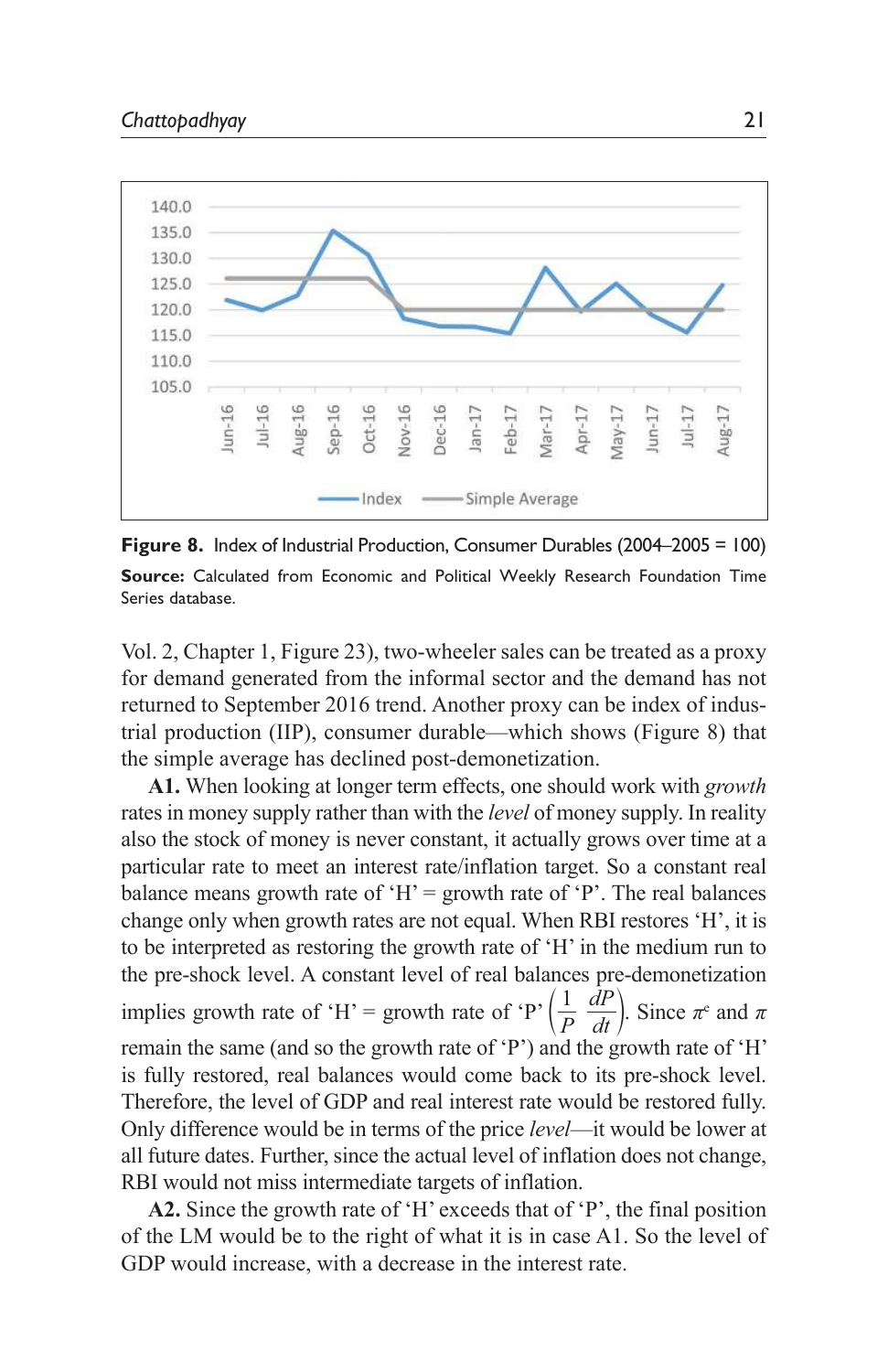

**Figure 8.** Index of Industrial Production, Consumer Durables (2004–2005 = 100) **Source:** Calculated from Economic and Political Weekly Research Foundation Time Series database.

Vol. 2, Chapter 1, Figure 23), two-wheeler sales can be treated as a proxy for demand generated from the informal sector and the demand has not returned to September 2016 trend. Another proxy can be index of industrial production (IIP), consumer durable—which shows (Figure 8) that the simple average has declined post-demonetization.

**A1.** When looking at longer term effects, one should work with *growth* rates in money supply rather than with the *level* of money supply. In reality also the stock of money is never constant, it actually grows over time at a particular rate to meet an interest rate/inflation target. So a constant real balance means growth rate of 'H' = growth rate of 'P'. The real balances change only when growth rates are not equal. When RBI restores 'H', it is to be interpreted as restoring the growth rate of 'H' in the medium run to the pre-shock level. A constant level of real balances pre-demonetization implies growth rate of 'H' = growth rate of 'P'  $\left(\frac{1}{P}\frac{dP}{dt}\right)$ . Since  $\pi^e$  and  $\pi$ remain the same (and so the growth rate of 'P') and the growth rate of 'H' is fully restored, real balances would come back to its pre-shock level. Therefore, the level of GDP and real interest rate would be restored fully. Only difference would be in terms of the price *level*—it would be lower at all future dates. Further, since the actual level of inflation does not change, RBI would not miss intermediate targets of inflation.

**A2.** Since the growth rate of 'H' exceeds that of 'P', the final position of the LM would be to the right of what it is in case A1. So the level of GDP would increase, with a decrease in the interest rate.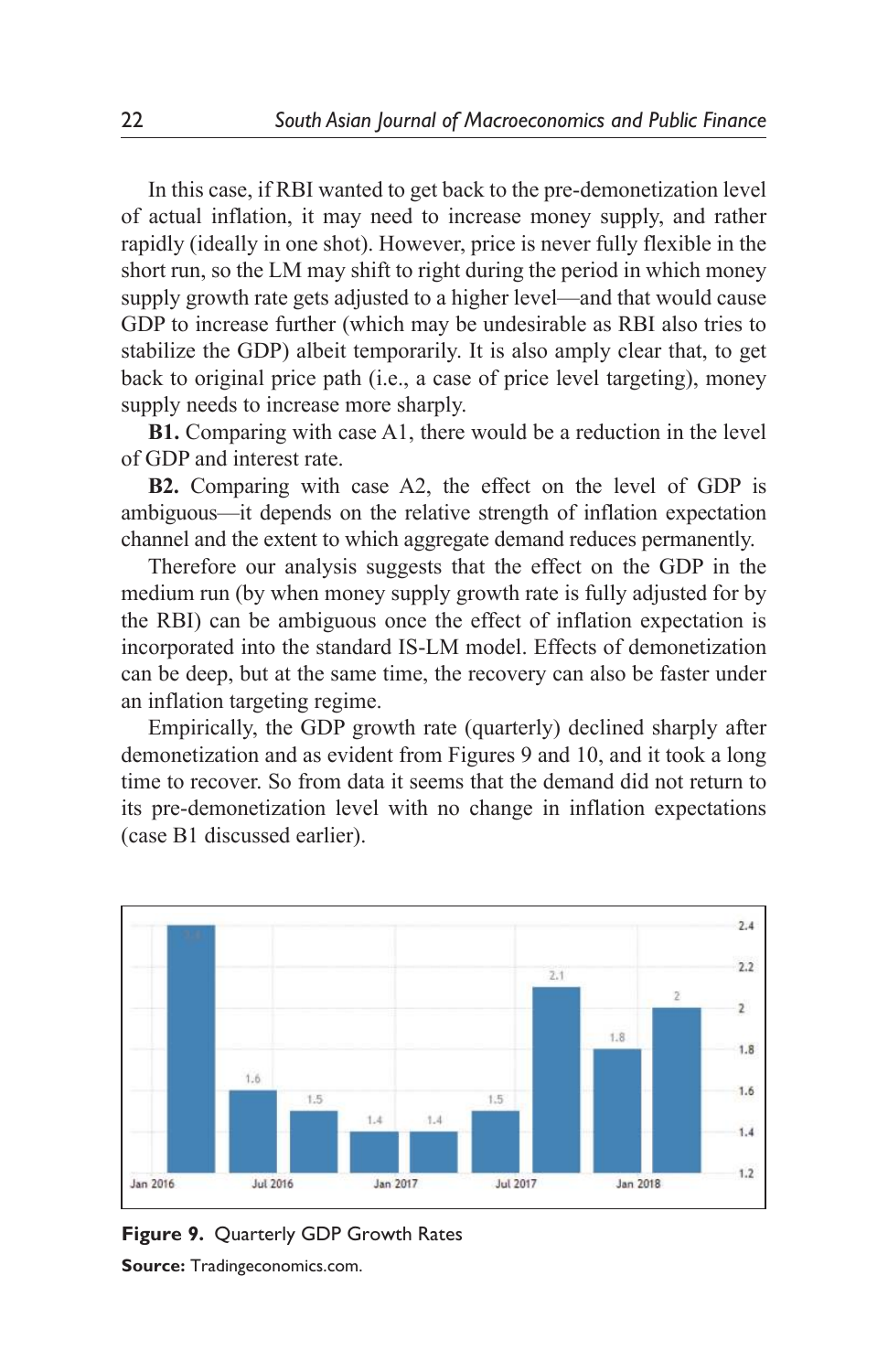In this case, if RBI wanted to get back to the pre-demonetization level of actual inflation, it may need to increase money supply, and rather rapidly (ideally in one shot). However, price is never fully flexible in the short run, so the LM may shift to right during the period in which money supply growth rate gets adjusted to a higher level—and that would cause GDP to increase further (which may be undesirable as RBI also tries to stabilize the GDP) albeit temporarily. It is also amply clear that, to get back to original price path (i.e., a case of price level targeting), money supply needs to increase more sharply.

**B1.** Comparing with case A1, there would be a reduction in the level of GDP and interest rate.

**B2.** Comparing with case A2, the effect on the level of GDP is ambiguous—it depends on the relative strength of inflation expectation channel and the extent to which aggregate demand reduces permanently.

Therefore our analysis suggests that the effect on the GDP in the medium run (by when money supply growth rate is fully adjusted for by the RBI) can be ambiguous once the effect of inflation expectation is incorporated into the standard IS-LM model. Effects of demonetization can be deep, but at the same time, the recovery can also be faster under an inflation targeting regime.

Empirically, the GDP growth rate (quarterly) declined sharply after demonetization and as evident from Figures 9 and 10, and it took a long time to recover. So from data it seems that the demand did not return to its pre-demonetization level with no change in inflation expectations (case B1 discussed earlier).



**Figure 9.** Quarterly GDP Growth Rates **Source:** Tradingeconomics.com.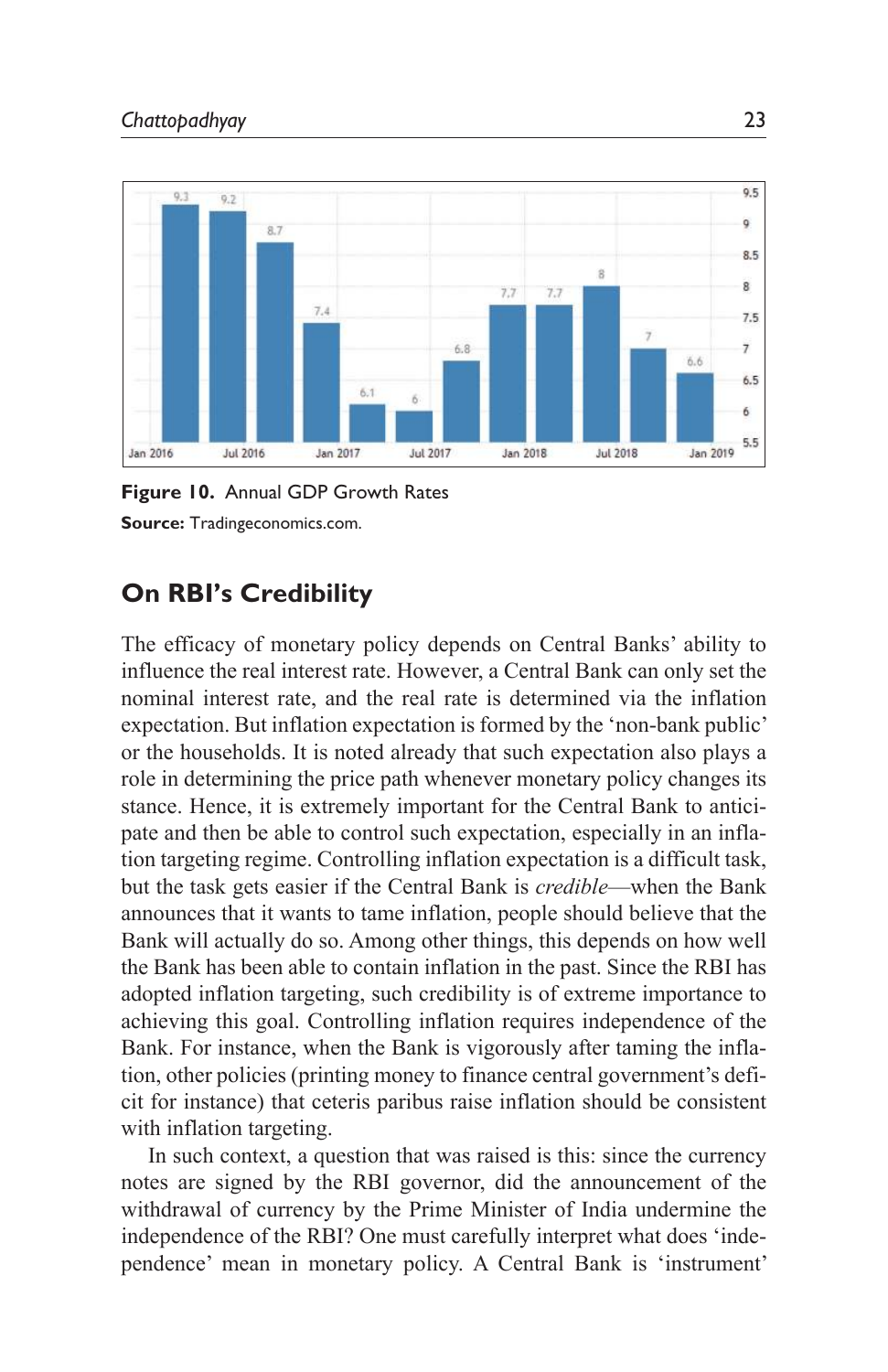

**Figure 10.** Annual GDP Growth Rates **Source:** Tradingeconomics.com.

# **On RBI's Credibility**

The efficacy of monetary policy depends on Central Banks' ability to influence the real interest rate. However, a Central Bank can only set the nominal interest rate, and the real rate is determined via the inflation expectation. But inflation expectation is formed by the 'non-bank public' or the households. It is noted already that such expectation also plays a role in determining the price path whenever monetary policy changes its stance. Hence, it is extremely important for the Central Bank to anticipate and then be able to control such expectation, especially in an inflation targeting regime. Controlling inflation expectation is a difficult task, but the task gets easier if the Central Bank is *credible*—when the Bank announces that it wants to tame inflation, people should believe that the Bank will actually do so. Among other things, this depends on how well the Bank has been able to contain inflation in the past. Since the RBI has adopted inflation targeting, such credibility is of extreme importance to achieving this goal. Controlling inflation requires independence of the Bank. For instance, when the Bank is vigorously after taming the inflation, other policies (printing money to finance central government's deficit for instance) that ceteris paribus raise inflation should be consistent with inflation targeting.

In such context, a question that was raised is this: since the currency notes are signed by the RBI governor, did the announcement of the withdrawal of currency by the Prime Minister of India undermine the independence of the RBI? One must carefully interpret what does 'independence' mean in monetary policy. A Central Bank is 'instrument'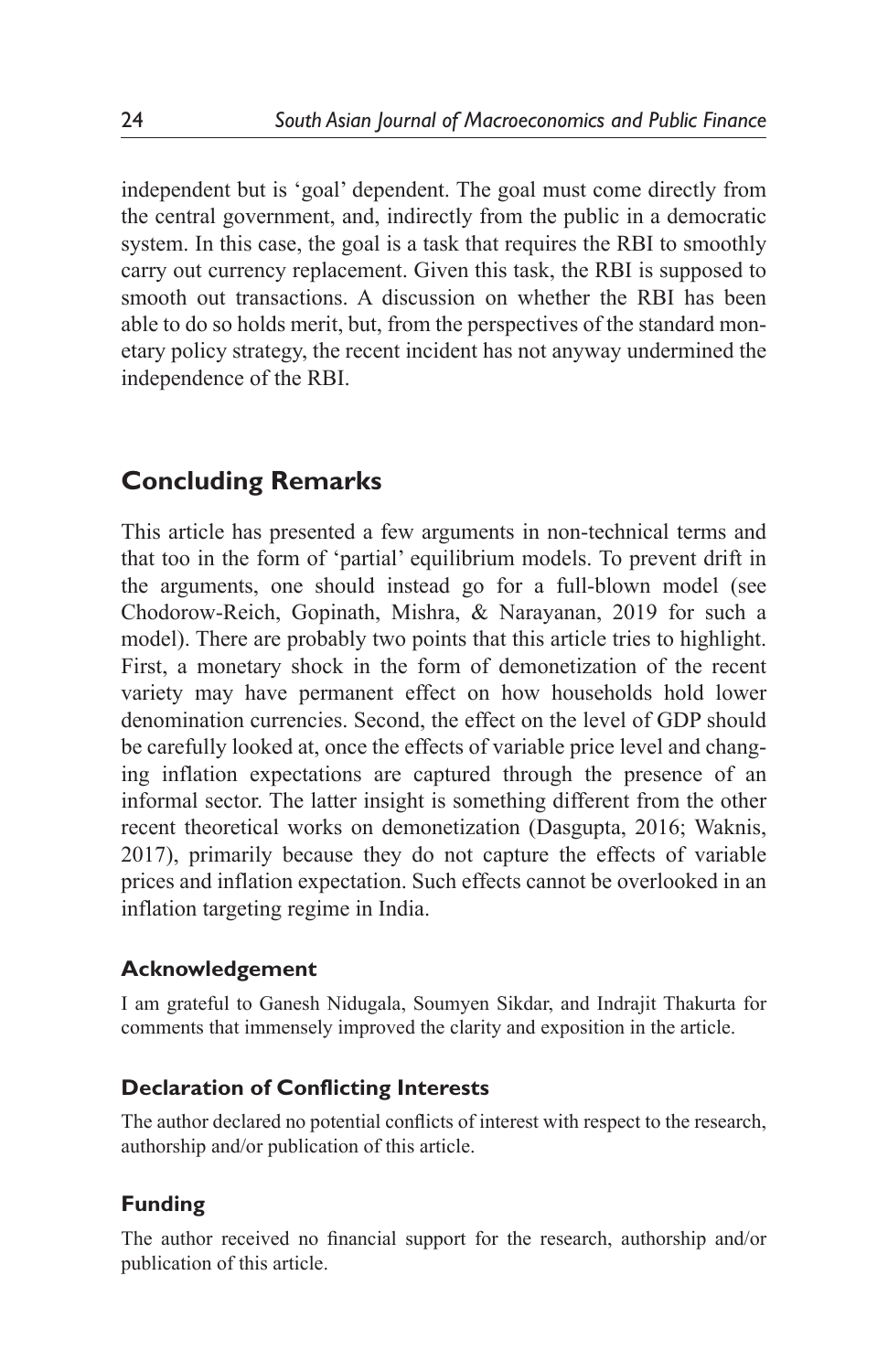independent but is 'goal' dependent. The goal must come directly from the central government, and, indirectly from the public in a democratic system. In this case, the goal is a task that requires the RBI to smoothly carry out currency replacement. Given this task, the RBI is supposed to smooth out transactions. A discussion on whether the RBI has been able to do so holds merit, but, from the perspectives of the standard monetary policy strategy, the recent incident has not anyway undermined the independence of the RBI.

# **Concluding Remarks**

This article has presented a few arguments in non-technical terms and that too in the form of 'partial' equilibrium models. To prevent drift in the arguments, one should instead go for a full-blown model (see Chodorow-Reich, Gopinath, Mishra, & Narayanan, 2019 for such a model). There are probably two points that this article tries to highlight. First, a monetary shock in the form of demonetization of the recent variety may have permanent effect on how households hold lower denomination currencies. Second, the effect on the level of GDP should be carefully looked at, once the effects of variable price level and changing inflation expectations are captured through the presence of an informal sector. The latter insight is something different from the other recent theoretical works on demonetization (Dasgupta, 2016; Waknis, 2017), primarily because they do not capture the effects of variable prices and inflation expectation. Such effects cannot be overlooked in an inflation targeting regime in India.

## **Acknowledgement**

I am grateful to Ganesh Nidugala, Soumyen Sikdar, and Indrajit Thakurta for comments that immensely improved the clarity and exposition in the article.

### **Declaration of Conflicting Interests**

The author declared no potential conflicts of interest with respect to the research, authorship and/or publication of this article.

## **Funding**

The author received no financial support for the research, authorship and/or publication of this article.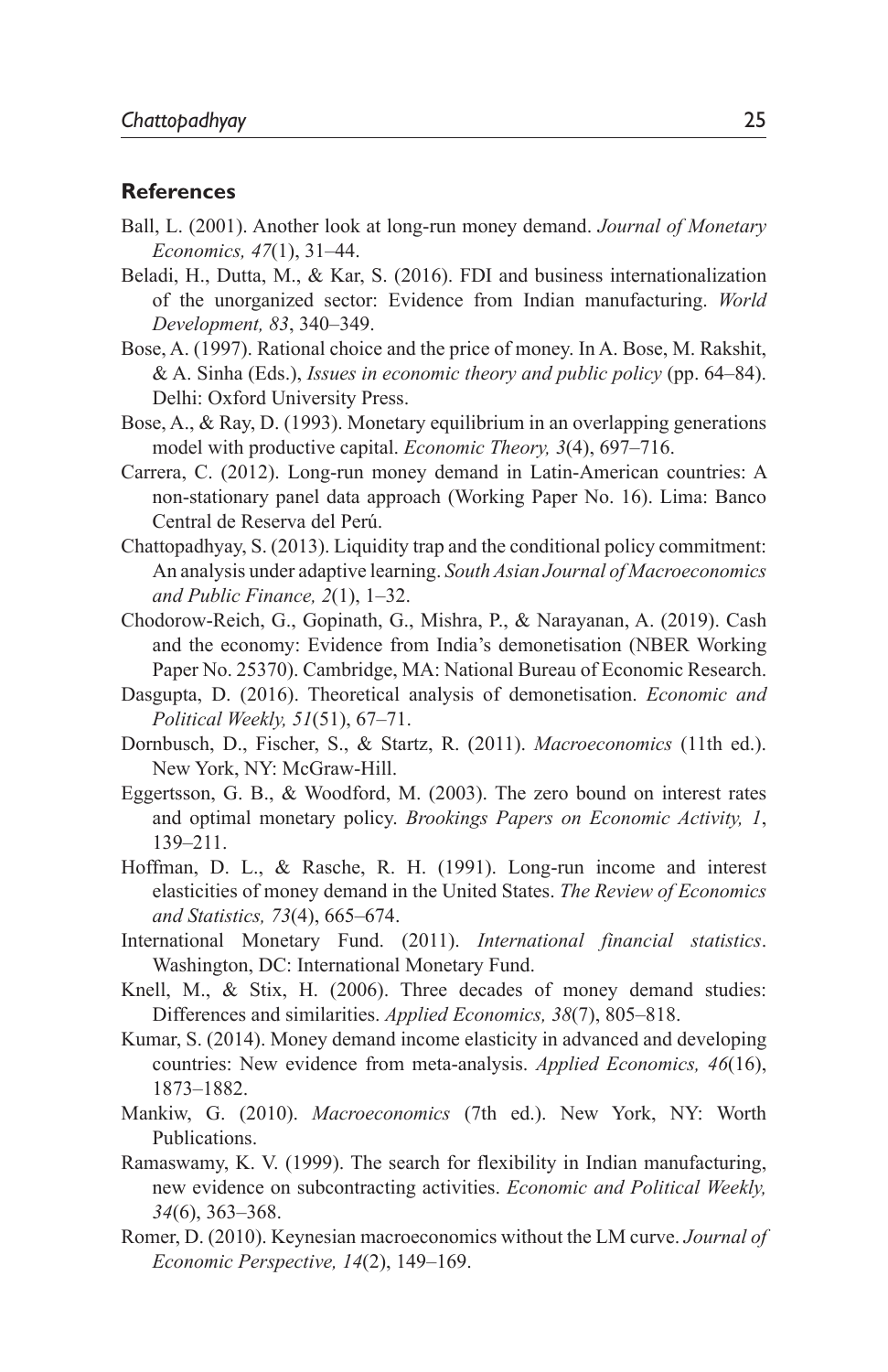#### **References**

- Ball, L. (2001). Another look at long-run money demand. *Journal of Monetary Economics, 47*(1), 31–44.
- Beladi, H., Dutta, M., & Kar, S. (2016). FDI and business internationalization of the unorganized sector: Evidence from Indian manufacturing. *World Development, 83*, 340–349.
- Bose, A. (1997). Rational choice and the price of money. In A. Bose, M. Rakshit, & A. Sinha (Eds.), *Issues in economic theory and public policy* (pp. 64–84). Delhi: Oxford University Press.
- Bose, A., & Ray, D. (1993). Monetary equilibrium in an overlapping generations model with productive capital. *Economic Theory, 3*(4), 697–716.
- Carrera, C. (2012). Long-run money demand in Latin-American countries: A non-stationary panel data approach (Working Paper No. 16). Lima: Banco Central de Reserva del Perú.
- Chattopadhyay, S. (2013). Liquidity trap and the conditional policy commitment: An analysis under adaptive learning. *South Asian Journal of Macroeconomics and Public Finance, 2*(1), 1–32.
- Chodorow-Reich, G., Gopinath, G., Mishra, P., & Narayanan, A. (2019). Cash and the economy: Evidence from India's demonetisation (NBER Working Paper No. 25370). Cambridge, MA: National Bureau of Economic Research.
- Dasgupta, D. (2016). Theoretical analysis of demonetisation. *Economic and Political Weekly, 51*(51), 67–71.
- Dornbusch, D., Fischer, S., & Startz, R. (2011). *Macroeconomics* (11th ed.). New York, NY: McGraw-Hill.
- Eggertsson, G. B., & Woodford, M. (2003). The zero bound on interest rates and optimal monetary policy. *Brookings Papers on Economic Activity, 1*, 139–211.
- Hoffman, D. L., & Rasche, R. H. (1991). Long-run income and interest elasticities of money demand in the United States. *The Review of Economics and Statistics, 73*(4), 665–674.
- International Monetary Fund. (2011). *International financial statistics*. Washington, DC: International Monetary Fund.
- Knell, M., & Stix, H. (2006). Three decades of money demand studies: Differences and similarities. *Applied Economics, 38*(7), 805–818.
- Kumar, S. (2014). Money demand income elasticity in advanced and developing countries: New evidence from meta-analysis. *Applied Economics, 46*(16), 1873–1882.
- Mankiw, G. (2010). *Macroeconomics* (7th ed.). New York, NY: Worth Publications.
- Ramaswamy, K. V. (1999). The search for flexibility in Indian manufacturing, new evidence on subcontracting activities. *Economic and Political Weekly, 34*(6), 363–368.
- Romer, D. (2010). Keynesian macroeconomics without the LM curve. *Journal of Economic Perspective, 14*(2), 149–169.